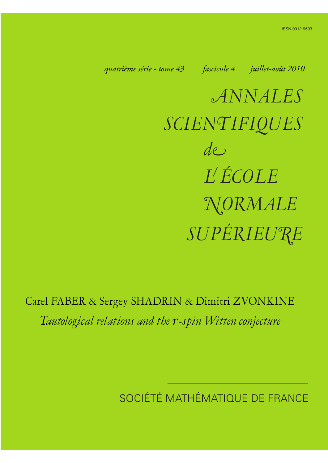*quatrième série - tome 43 fascicule 4 juillet-août 2010*

*ANNALES SCIENTIFIQUES SUPÉRIEURE de L ÉCOLE NORMALE*

Carel FABER & Sergey SHADRIN & Dimitri ZVONKINE *Tautological relations and the* r*-spin Witten conjecture*

SOCIÉTÉ MATHÉMATIQUE DE FRANCE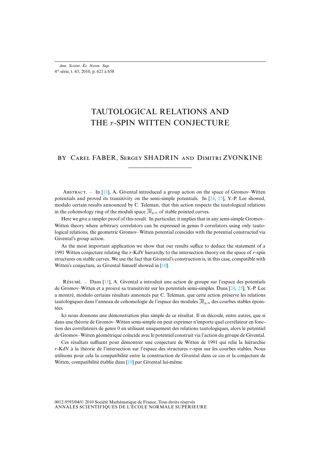# TAUTOLOGICAL RELATIONS AND THE r-SPIN WITTEN CONJECTURE

# BY CAREL FABER, SERGEY SHADRIN AND DIMITRI ZVONKINE

ABSTRACT. – In  $[11]$ , A. Givental introduced a group action on the space of Gromov–Witten potentials and proved its transitivity on the semi-simple potentials. In [24, 25], Y.-P. Lee showed, modulo certain results announced by C. Teleman, that this action respects the tautological relations in the cohomology ring of the moduli space  $\overline{\mathcal{M}}_{g,n}$  of stable pointed curves.

Here we give a simpler proof of this result. In particular, it implies that in any semi-simple Gromov– Witten theory where arbitrary correlators can be expressed in genus 0 correlators using only tautological relations, the geometric Gromov–Witten potential coincides with the potential constructed via Givental's group action.

As the most important application we show th[at o](#page-37-0)ur results suffice to deduce the statement of a 1991 Witten conjecture relating the  $r$ -KdV hierarchy to the intersection theory on the space of  $r$ -spin structures on stable cur[ves.](#page-37-1) We use the fact that Givental's construction is, in this case, compatible with Witten's conjecture, as Givental himself showed in [10].

RÉSUMÉ. – Dans [11], A. Givental a introduit une action de groupe sur l'espace des potentiels de Gromov–Witten et a prouvé sa transitivité sur les potentiels semi-simples. Dans [24, 25], Y.-P. Lee a montré, modulo certains résultats annoncés par C. Teleman, que cette action préserve les relations tautologiques dans l'anneau de cohomologie de l'espace des modules  $\overline{\mathcal{M}}_{g,n}$  des courbes stables épointées.

Ici nous donnons une démonstration plus simple de ce résultat. Il en découle, entre autres, que si dans une théorie de Gromov–Witten semi-simple on peut exprimer n'importe quel corrélateur en fonction des corrélateurs de genre 0 en utilisant uniquement des relations tautologiques, alors le potentiel de Gromov–Witten géométrique coïncide avec le potentiel construit via l'action du groupe de Givental.

Ces résultats suffisent pour dé[mo](#page-37-0)ntrer une conjecture de Witten de 1991 qui relie la hiérarchie r-KdV à la théorie de l'intersection sur l'espace des structures r-spin sur les courbes stables. Nous utilisons pour cela la compatibilité entre la construction de Givental dans ce cas et la conjecture de Witten, compatibilité établie dans [10] par Givental lui-même.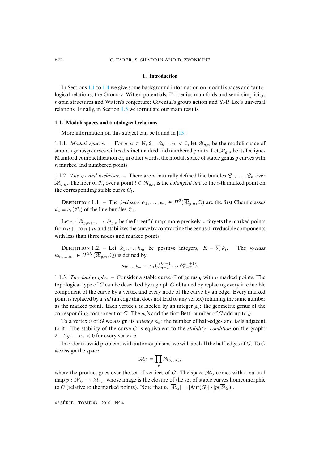### **1. Introduction**

In Sections 1.1 to 1.4 we [give](#page-12-0) some background information on moduli spaces and tautological relations; the Gromov–Witten potentials, Frobenius manifolds and semi-simplicity; r-spin structures and Witten's conjecture; Givental's group action and Y.-P. Lee's universal relations. Finally, in Section 1.5 we formulate our ma[in r](#page-37-2)esults.

#### **1.1. Moduli spaces and tautological relations**

More information on this subject can be found in [13].

1.1.1*. Moduli spaces.* – For  $g, n \in \mathbb{N}, 2 - 2g - n < 0$ , let  $\mathcal{M}_{g,n}$  be the moduli space of smooth genus g curves with n distinct marked and numbered points. Let  $\overline{\mathcal{M}}_{q,n}$  be its Deligne-Mumford compactification or, in other words, the moduli space of stable genus g curves with n marked and numbered points.

1.1.2*. The*  $\psi$ - and  $\kappa$ -classes. – There are n naturally defined line bundles  $\mathcal{L}_1, \ldots, \mathcal{L}_n$  over  $\overline{\mathcal{M}}_{q,n}$ . The fiber of  $\mathcal{L}_i$  over a point  $t \in \overline{\mathcal{M}}_{q,n}$  is the *cotangent line* to the *i*-th marked point on the corresponding stable curve  $C_t$ .

DEFINITION 1.1. – The  $\psi$ -classes  $\psi_1,\ldots,\psi_n \in H^2(\overline{\mathcal{M}}_{g,n},\mathbb{Q})$  are the first Chern classes  $\psi_i = c_1(\mathcal{L}_i)$  of the line bundles  $\mathcal{L}_i$ .

Let  $\pi : \overline{\mathcal{M}}_{g,n+m} \to \overline{\mathcal{M}}_{g,n}$  be the forgetful map; more precisely,  $\pi$  forgets the marked points from  $n+1$  to  $n+m$  and stabilizes the curve by contracting the genus 0 irreducible components with less than three nodes and marked points.

DEFINITION 1.2. – Let  $k_1, \ldots, k_m$  be positive integers,  $K = \sum k_i$ . The κ*-class*  $\kappa_{k_1,\dots,k_m} \in H^{2K}(\overline{\mathcal{M}}_{q,n},\mathbb{Q})$  is defined by

$$
\kappa_{k_1,\ldots,k_m} = \pi_*(\psi_{n+1}^{k_1+1}\ldots\psi_{n+m}^{k_m+1}).
$$

1.1.3*. The dual graphs*. – Consider a stable curve C of genus g with n marked points. The topological type of  $C$  can be described by a graph  $G$  obtained by replacing every irreducible component of the curve by a vertex and every node of the curve by an edge. Every marked point is replaced by a *tail* (an edge that does not lead to any vertex) retaining the same number as the marked point. Each vertex v is labeled by an integer  $q_v$ : the geometric genus of the corresponding component of C. The  $g_v$ 's and the first Betti number of G add up to g.

To a vertex v of G we assign its *valency*  $n_v$ : the number of half-edges and tails adjacent to it. The stability of the curve C is equivalent to the *stability condition* on the graph:  $2 - 2g_v - n_v < 0$  for every vertex v.

In order to avoid problems with automorphisms, we will label all the half-edges of G. To G we assign the space

$$
\overline{\mathcal{M}}_G=\prod_v\overline{\mathcal{M}}_{g_v,n_v},
$$

where the product goes over the set of vertices of G. The space  $\overline{\mathcal{M}}_G$  comes with a natural map  $p : \overline{M}_G \to \overline{M}_{q,n}$  whose image is the closure of the set of stable curves homeomorphic to C (relative to the marked points). Note that  $p_*[\overline{\mathcal{M}}_G] = |\text{Aut}(G)| \cdot [p(\overline{\mathcal{M}}_G)].$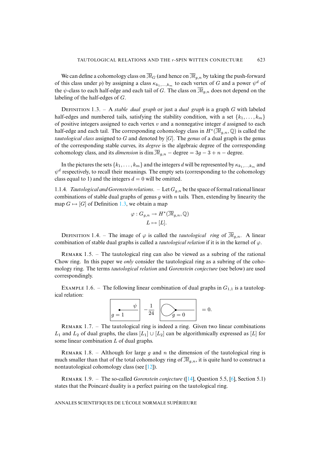<span id="page-3-0"></span>We can define a cohomology class on  $\overline{\mathcal{M}}_G$  (and hence on  $\overline{\mathcal{M}}_{g,n}$  by taking the push-forward of this class under p) by assigning a class  $\kappa_{k_1,...,k_m}$  to each vertex of G and a power  $\psi^d$  of the  $\psi$ -class to each half-edge and each tail of G. The class on  $\overline{\mathcal{M}}_{q,n}$  does not depend on the labeling of the half-edges of G.

D 1.3. – A *stable dual graph* or just a *dual graph* is a graph G with labeled half-edges and numbered tails, satisfying the stability condition, with a set  $\{k_1, \ldots, k_m\}$ of positive integers assigned to each vertex  $v$  and a nonnegative integer  $d$  assigned to each half-edge and each tail. The corresponding cohomology class in  $H^*(\overline{\mathcal{M}}_{g,n},\mathbb{Q})$  is called the *tautological class* assigned to G and denoted by [G]. The *genus* of a dual graph is the genus of the corresponding stable curves, its *degree* is the algebraic degree of the corresponding cohomology class, and its *dimension* is dim  $\overline{\mathcal{M}}_{g,n}$  – degree = 3g – 3 + n – degree.

In the pictures the sets  $\{k_1, \ldots, k_m\}$  and the integers d will be represented by  $\kappa_{k_1,\ldots,k_m}$  and  $\psi^d$  respectively, to recall their meanings. The empty sets (corresponding to the cohomology class equal to 1) and the int[eger](#page-3-0)s  $d = 0$  will be omitted.

1.1.4. Tautological and Gorenstein relations.  $-$  Let  $G_{q,n}$  be the space of formal rational linear combinations of stable dual graphs of genus q with n tails. Then, extending by linearity the map  $G \mapsto [G]$  of Definition 1.3, we obtain a map

$$
\varphi: G_{g,n} \to H^*(\overline{\mathcal{M}}_{g,n}, \mathbb{Q})
$$

$$
L \mapsto [L].
$$

DEFINITION 1.4. – The image of  $\varphi$  is called the *tautological ring* of  $\overline{\mathcal{M}}_{q,n}$ . A linear combination of stable dual graphs is called a *tautological relation* if it is in the kernel of  $\varphi$ .

<span id="page-3-1"></span>REMARK 1.5. – The tautological ring can also be viewed as a subring of the rational Chow ring. In this paper we *only* consider the tautological ring as a subring of the cohomology ring. The terms *tautological relation* and *Gorenstein conjecture* (see below) are used correspondingly.

EXAMPLE 1.6. – The following linear combination of dual graphs in  $G_{1,1}$  is a tautological relation:



REMARK  $1.7.$  – The tautological ring is indeed a ring. Given two linear combinations  $L_1$  and  $L_2$  of dual graphs, the class  $[L_1] \cup [L_2]$  can be algorithmically expressed as  $[L]$  for some linear combination L of dual gra[phs.](#page-37-3)

REMARK 1.8. – Although for large g and n the di[mens](#page-37-4)ion of the tautological ring is much smaller than that of the total cohomology ring of  $\overline{\mathcal{M}}_{g,n}$ , it is quite har[d t](#page-36-0)o construct a nontautological cohomology class (see [12]).

R 1.9. – The so-called *Gorenstein conjecture* ([14], Question 5.5, [6], Section 5.1) states that the Poincaré duality is a perfect pairing on the tautological ring.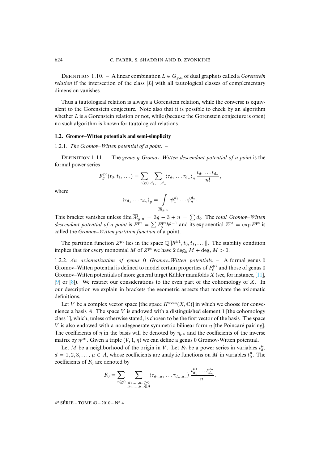DEFINITION 1.10. – A linear combination  $L \in G_{q,n}$  of dual graphs is called a *Gorenstein relation* if the intersection of the class [L] with all tautological classes of complementary dimension vanishes.

Thus a tautological relation is always a Gorenstein relation, while the converse is equivalent to the Gorenstein conjecture. Note also that it is possible to check by an algorithm whether *L* is a Gorenstein relation or not, while (because the Gorenstein conjecture is open) no such algorithm is known for tautological relations.

#### **1.2. Gromov–Witten potentials and semi-simplicity**

1.2.1*. The Gromov Witten potential of a point*. –

D 1.11. – The *genus* g *Gromov Witten descendant potential of a point* is the formal power series

$$
F_g^{\rm pt}(t_0,t_1,\dots)=\sum_{n\geq 0}\sum_{d_1,\dots,d_n}\langle \tau_{d_1}\dots\tau_{d_n}\rangle_g\,\frac{t_{d_1}\dots t_{d_n}}{n!},
$$

where

$$
\langle \tau_{d_1} \dots \tau_{d_n} \rangle_g = \int\limits_{\overline{\mathcal{M}}_{g,n}} \psi_1^{d_1} \dots \psi_n^{d_n}.
$$

This bracket vanishes unless dim  $\overline{M}_{g,n} = 3g - 3 + n = \sum d_i$ . The *total Gromov–Witten descendant potential of a point* is  $F<sup>pt</sup> = \sum F_g<sup>pt</sup> \hbar<sup>g-1</sup>$  and its exponential  $Z<sup>pt</sup> = \exp F<sup>pt</sup>$  is called the *Gromov-Witten partition function* of a point.

<span id="page-4-0"></span>The partition function  $Z^{pt}$  lies in the space  $\mathbb{Q}[[\hbar^{\pm 1}, t_0, t_1, \dots]]$ . The stability condition implies that for every monomial M of  $Z^{\text{pt}}$  we have  $2 \deg_{\hbar} M + \deg_t M > 0$ .

[1.2](#page-37-5).2*. [An](#page-36-1) axiomatization of genus* 0 *Gromov Witten potentials*. – A formal genus 0 Gromov–Witten potential is defined to model certain properties of  $F_0^{\text{pt}}$  and those of genus 0 Gromov–Witten potentials of more general target Kähler manifolds  $X$  (see, for instance, [11], [9] or [8]). We restrict our considerations to the even part of the cohomology of X. In our description we explain in brackets the geometric aspects that motivate the axiomatic definitions.

Let V be a complex vector space [the space  $H^{\text{even}}(X,\mathbb{C})$ ] in which we choose for convenience a basis A. The space V is endowed with a distinguished element 1 [the cohomology class 1], which, unless otherwise stated, is chosen to be the first vector of the basis. The space V is also endowed with a nondegenerate symmetric bilinear form  $\eta$  [the Poincaré pairing]. The coefficients of  $\eta$  in the basis will be denoted by  $\eta_{\mu\nu}$  and the coefficients of the inverse matrix by  $\eta^{\mu\nu}$ . Given a triple  $(V, 1, \eta)$  we can define a genus 0 Gromov-Witten potential.

Let M be a neighborhood of the origin in V. Let  $F_0$  be a power series in variables  $t_d^{\mu}$ ,  $d = 1, 2, 3, \ldots, \mu \in A$ , whose coefficients are analytic functions on M in variables  $t_0^{\mu}$ . The coefficients of  $F_0$  are denoted by

µ<sup>1</sup>

$$
F_0 = \sum_{n \geq 0} \sum_{\substack{d_1, \ldots, d_n \geq 0 \\ \mu_1, \ldots, \mu_n \in A}} \langle \tau_{d_1, \mu_1} \ldots \tau_{d_n, \mu_n} \rangle \, \frac{t_{d_1}^{\mu_1} \ldots t_{d_n}^{\mu_n}}{n!}.
$$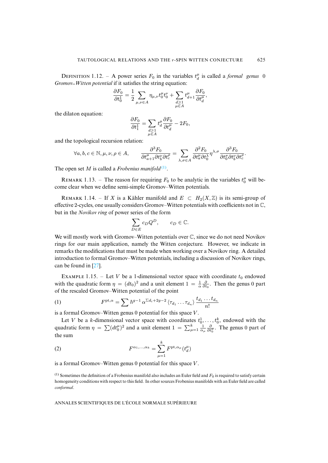DEFINITION 1.12. – A power series  $F_0$  in the variables  $t_d^{\mu}$  is called a *formal genus* 0 *Gromov–Witten potential* if it satisfies the string equation:

$$
\frac{\partial F_0}{\partial t_0^1} = \frac{1}{2} \sum_{\mu,\nu \in A} \eta_{\mu,\nu} t_0^{\mu} t_0^{\nu} + \sum_{\substack{d \geq 1 \\ \mu \in A}} t_{d+1}^{\mu} \frac{\partial F_0}{\partial t_d^{\mu}},
$$

the dilaton equation:

$$
\frac{\partial F_0}{\partial t_1^1} = \sum_{\substack{d \ge 1 \\ \mu \in A}} t_d^{\mu} \frac{\partial F_0}{\partial t_d^{\mu}} - 2F_0,
$$

and the topological recursion relation:

$$
\forall a, b, c \in \mathbb{N}, \mu, \nu, \rho \in A, \qquad \frac{\partial^3 F_0}{\partial t_{a+1}^{\mu} \partial t_b^{\nu} \partial t_c^{\rho}} = \sum_{\lambda, \sigma \in A} \frac{\partial^2 F_0}{\partial t_a^{\mu} \partial t_0^{\lambda}} \eta^{\lambda, \sigma} \frac{\partial^3 F_0}{\partial t_0^{\sigma} \partial t_b^{\nu} \partial t_c^{\rho}}.
$$

The open set M is called a *Frobenius manifold*<sup>(1)</sup>.

REMARK 1.13. – The reason for requiring  $F_0$  to be analytic in the variables  $t_0^{\mu}$  will become clear when we define semi-simple Gromov–Witten potentials.

REMARK 1.14. – If X is a Kähler manifold and  $E \text{ }\subset H_2(X,\mathbb{Z})$  is its semi-group of effective 2-cycles, one usually considers Gromov–Witten potentials with coefficients not in C, but in the *Novikov ring* of power series of the form

$$
\sum_{D \in E} c_D Q^D, \qquad c_D \in \mathbb{C}.
$$

We will mostly work with Gromov–Witten potentials over  $\mathbb C$ , since we do not need Novikov rings for our m[ain](#page-37-6) application, namely the Witten conjecture. However, we indicate in remarks the modifications that must be made when working over a Novikov ring. A detailed introduction to formal Gromov–Witten potentials, including a discussion of Novikov rings, can be found in [27].

EXAMPLE 1.15. – Let V be a 1-dimensional vector space with coordinate  $t_0$  endowed with the quadratic form  $\eta = (dt_0)^2$  and a unit element  $1 = \frac{1}{\alpha} \frac{\partial}{\partial t_0}$ . Then the genus 0 part of the rescaled Gromov–Witten potential of the point

(1) 
$$
F^{\mathrm{pt},\alpha} = \sum \hbar^{g-1} \alpha^{\sum d_i + 2g-2} \langle \tau_{d_1} \dots \tau_{d_n} \rangle \frac{t_{d_1} \dots t_{d_n}}{n!}
$$

is a formal Gromov–Witten genus 0 potential for this space V .

<span id="page-5-1"></span>Let V be a k-dimensional vector space with coordinates  $t_0^1, \ldots, t_0^k$ , endowed with the quadratic form  $\eta = \sum (dt_0^{\mu})^2$  and a unit element  $1 = \sum_{\mu=1}^{k} \frac{1}{\alpha_{\mu}} \frac{\partial}{\partial t_0^{\mu}}$ . The genus 0 part of the sum

<span id="page-5-0"></span>(2) 
$$
F^{\alpha_1,\dots,\alpha_k} = \sum_{\mu=1}^k F^{\text{pt},\alpha_\mu}(t_d^\mu)
$$

is a formal Gromov–Witten genus  $0$  potential for this space  $V$ .

 $<sup>(1)</sup>$  Sometimes the definition of a Frobenius manifold also includes an Euler field and  $F_0$  is required to satisfy certain</sup> homogeneity conditions with respect to this field. In other sources Frobenius manifolds with an Euler field are called *conformal*.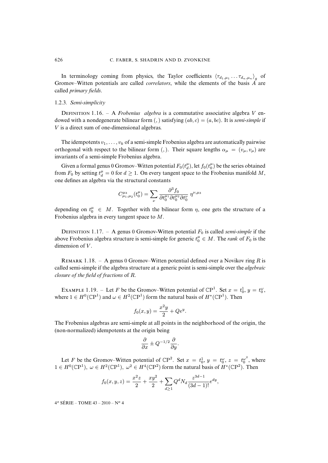In terminology coming from physics, the Taylor coefficients  $\langle \tau_{d_1,\mu_1} \dots \tau_{d_n,\mu_n} \rangle_g$  of Gromov–Witten potentials are called *correlators*, while the elements of the basis A are called *primary fields*.

#### 1.2.3*. Semi-simplicity*

DEFINITION 1.16. – A *Frobenius algebra* is a commutative associative algebra V endowed with a nondegenerate bilinear form  $($ ,  $)$  satisfying  $(ab, c) = (a, bc)$ . It is *semi-simple* if V is a direct sum of one-dimensional algebras.

The idempotents  $v_1, \ldots, v_k$  of a semi-simple Frobenius algebra are automatically pairwise orthogonal with respect to the bilinear form (,). Their square lengths  $\alpha_{\mu} = (v_{\mu}, v_{\mu})$  are invariants of a semi-simple Frobenius algebra.

Given a formal genus 0 Gromov–Witten potential  $F_0(t_d^{\mu})$ , let  $f_0(t_0^{\mu})$  be the series obtained from  $F_0$  by setting  $t_d^{\mu} = 0$  for  $d \ge 1$ . On every tangent space to the Frobenius manifold M, one defines an algebra via the structural constants

$$
C^{\mu_3}_{\mu_1,\mu_2}(t_0^{\mu}) = \sum_{\nu} \frac{\partial^3 f_0}{\partial t_0^{\mu_1} \partial t_0^{\mu_2} \partial t_0^{\nu}} \eta^{\nu,\mu_3}
$$

depending on  $t_0^{\mu} \in M$ . Together with the bilinear form  $\eta$ , one gets the structure of a Frobenius algebra in every tangent space to M.

<span id="page-6-0"></span>DEFINITION 1.17. – A genus 0 Gromov-Witten potential  $F_0$  is called *semi-simple* if the above Frobenius algebra structure is semi-simple for generic  $t_0^{\mu} \in M$ . The *rank* of  $F_0$  is the dimension of  $V$ .

REMARK 1.18. – A genus 0 Gromov–Witten potential defined over a Novikov ring R is called semi-simple if the algebra structure at a generic point is semi-simple over the *algebraic closure of the field of fractions* of R.

EXAMPLE 1.19. – Let F be the Gromov–Witten potential of  $\mathbb{CP}^1$ . Set  $x = t_0^1$ ,  $y = t_0^{\omega}$ , where  $1 \in H^0(\mathbb{C}P^1)$  and  $\omega \in H^2(\mathbb{C}P^1)$  form the natural basis of  $H^*(\mathbb{C}P^1)$ . Then

$$
f_0(x, y) = \frac{x^2y}{2} + Qe^y.
$$

The Frobenius algebras are semi-simple at all points in the neighborhood of the origin, the (non-normalized) idempotents at the origin being

$$
\frac{\partial}{\partial x} \pm Q^{-1/2} \frac{\partial}{\partial y}.
$$

Let F be the Gromov–Witten potential of  $\mathbb{C}P^2$ . Set  $x = t_0^1$ ,  $y = t_0^{\omega}$ ,  $z = t_0^{\omega^2}$ , where  $1 \in H^0(\mathbb{C}P^1)$ ,  $\omega \in H^2(\mathbb{C}P^1)$ ,  $\omega^2 \in H^4(\mathbb{C}P^2)$  form the natural basis of  $H^*(\mathbb{C}P^2)$ . Then

$$
f_0(x, y, z) = \frac{x^2 z}{2} + \frac{xy^2}{2} + \sum_{d \ge 1} Q^d N_d \frac{z^{3d-1}}{(3d-1)!} e^{dy},
$$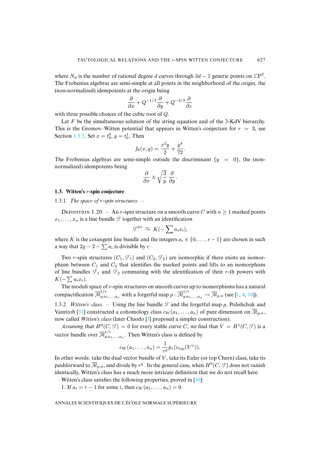where  $N_d$  is the number of rational degree d curves through  $3d - 1$  generic points on  $\mathbb{C}P^2$ . The Frobenius algebras are semi-simple at all points in the neighborhood of the origin, the (non-normalized) idempotents at the origin being

$$
\frac{\partial}{\partial x} + Q^{-1/3} \frac{\partial}{\partial y} + Q^{-2/3} \frac{\partial}{\partial z}
$$

with th[ree po](#page-8-0)ssible choices of the cubic root of Q.

Let  $F$  be the simultaneous solution of the string equation and of the 3-KdV hierarchy. This is the Gromov–Witten potential that appears in Witten's conjecture for  $r = 3$ , see Section 1.3.3. Set  $x = t_0^0, y = t_0^1$ . Then

$$
f_0(x,y) = \frac{x^2y}{2} + \frac{y^4}{72}.
$$

The Frobenius algebras are semi-simple outside the discriminant  $\{y = 0\}$ , the (nonnormalized) idempotents being

$$
\frac{\partial}{\partial x} \pm \sqrt{\frac{3}{y}} \frac{\partial}{\partial y}.
$$

#### **1.3. Witten's** r**-spin conjecture**

1.3.1*. The space of* r*-spin structures*. –

DEFINITION 1.20. – An r-spin structure on a smooth curve C with  $n \geq 1$  marked points  $x_1, \ldots, x_n$  is a line bundle  $\mathcal T$  together with an identification

$$
\mathcal{T}^{\otimes r} \simeq K(-\sum a_i x_i),
$$

where K is the cotangent line bundle and the integers  $a_i \in \{0, \ldots, r-1\}$  are chosen in such a way that  $2g - 2 - \sum a_i$  is divisible by r.

Two r-spin structures  $(C_1, \mathcal{T}_1)$  and  $(C_2, \mathcal{T}_2)$  are isomorphic if there exists an isomorphism between  $C_1$  and  $C_2$  that identifies the marked points and lifts to an isomorphism of line bundles  $\mathcal{T}_1$  and  $\mathcal{T}_2$  commuting with the identification of their r-th [p](#page-36-2)[ow](#page-36-3)[ers](#page-37-7) with  $K(-\sum a_i x_i).$ 

<span id="page-7-0"></span>The m[odu](#page-38-0)li space of r-spin structures on smooth curves up to isomorphisms has a natural compactification  $\overline{\mathcal{M}}_{g;a_1,...,a_n}^{1/r}$  with a for[get](#page-36-4)ful map  $p : \overline{\mathcal{M}}_{g;a_1,...,a_n}^{1/r} \to \overline{\mathcal{M}}_{g,n}$  (see [1, 4, 16]).

1.3.2*. Witten's class.* – Using the line bundle  $\mathcal T$  and the forgetful map p, Polishchuk and Vaintrob [31] constructed a cohomology class  $c_W(a_1, \ldots, a_n)$  of pure dimension on  $\overline{\mathcal{M}}_{g,n}$ , now called *Witten's class* (later Chiodo [3] proposed a simpler construction).

*Assuming* that  $H^0(C, \mathcal{T}) = 0$  for every stable curve C, we find that  $V = H^1(C, \mathcal{T})$  is a vector bundle over  $\overline{\mathcal{M}}_{g;a}^{1/r}$  $g_{g;a_1,...,a_n}^{(1)}$ . Then Witten's class is defined by

$$
c_W(a_1,\ldots,a_n)=\frac{1}{r^g}p_*(c_{\text{top}}(V^\vee)).
$$

In other words: take the dual vector bundle of  $V$ , take its Eu[ler \(](#page-38-1)or top Chern) class, take its pushforward to  $\overline{\mathcal{M}}_{g,n},$  and divide by  $r^g.$  In the general case, when  $H^0(C,\mathcal{I})$  does not vanish identically, Witten's class has a much more intricate definition that we do not recall here.

Witten's class satisfies the following properties, proved in [30]:

1. If  $a_i = r - 1$  for some i, then  $c_W(a_1, \ldots, a_n) = 0$ .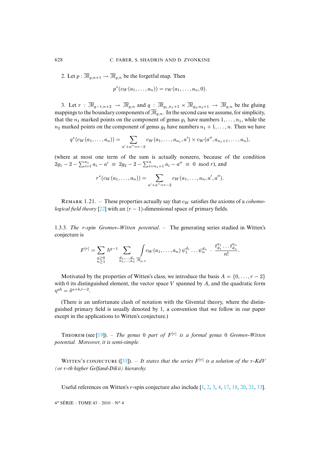2. Let  $p : \overline{\mathcal{M}}_{q,n+1} \to \overline{\mathcal{M}}_{q,n}$  be the forgetful map. Then

$$
p^*(c_W(a_1,\ldots,a_n)) = c_W(a_1,\ldots,a_n,0).
$$

3. Let  $r : \overline{\mathcal{M}}_{g-1,n+2} \to \overline{\mathcal{M}}_{g,n}$  and  $q : \overline{\mathcal{M}}_{g_1,n_1+1} \times \overline{\mathcal{M}}_{g_2,n_2+1} \to \overline{\mathcal{M}}_{g,n}$  be the gluing mappings to the boundary components of  $\overline{\mathcal{M}}_{g,n}$ . In the second case we assume, for simplicity, that the  $n_1$  marked points on the component of genus  $g_1$  have numbers  $1, \ldots, n_1$ , while the  $n_2$  marked points on the component of genus  $g_2$  have numbers  $n_1 + 1, \ldots, n$ . Then we have

$$
q^*(c_W(a_1,\ldots,a_n))=\sum_{a'+a''=r-2}c_W(a_1,\ldots,a_{n_1},a')\times c_W(a'',a_{n_1+1},\ldots,a_n),
$$

(where at most one term of the sum is actually nonzero, because of the condition  $2g_1 - 2 - \sum_{i=1}^{n_1} a_i - a' \equiv 2g_2 - 2 - \sum_{i=n_1+1}^{n} a_i - a'' \equiv 0 \mod r$ , and

$$
r^*(c_W(a_1,\ldots,a_n))=\sum_{a'+a''=r-2}c_W(a_1,\ldots,a_n,a',a'').
$$

<span id="page-8-0"></span>REMARK 1.21. – These properties actually say that  $c_W$  satisfies the axioms of a *cohomological field theory* [22] with an  $(r - 1)$ -dimensional space of primary fields.

1.3.3*. The* r*-spin Gromov Witten potential*. – The generating series studied in Witten's conjecture is

$$
F^{[r]} = \sum_{\substack{g \geq 0 \\ n \geq 1}} \hbar^{g-1} \sum_{\substack{d_1, \dots, d_n \\ a_1, \dots, a_n \ \overline{\mathcal{M}}_{g,n}}} \int c_W(a_1, \dots, a_n) \, \psi_1^{d_1} \dots \psi_n^{d_n} \cdot \frac{t_{d_1}^{a_1} \dots t_{d_n}^{a_n}}{n!}.
$$

Motivated by the properties of Witten's class, we introduce the basis  $A = \{0, \ldots, r - 2\}$ with 0 its distinguished element, the vector space  $V$  spanned by  $A$ , and the quadratic form  $\eta^{ab} = \delta^{a+b,r-2}.$ 

(There is an unfortunate clash of notation with the Givental theory, where the distinguished primary field is usually denoted by 1, a convention that we follow in our paper except in the appli[cat](#page-37-8)ions to Witten's conjecture.)

THEOREM (see  $[19]$ ). – *The genus* 0 *part of*  $F^{[r]}$  *is a formal genus* 0 *Gromov-Witten potential. Moreover, it is sem[i-sim](#page-38-2)ple.*

WITTEN'S CONJECTURE  $(35)$ . – *It states that the se[r](#page-37-12)ies*  $F<sup>[r]</sup>$  *[is](#page-36-5) [a s](#page-36-4)[ol](#page-36-3)[utio](#page-37-9)[n o](#page-37-10)[f the](#page-37-11) r-[KdV](#page-38-3) (or* r*-th higher Gelfand-Dikii) hierarchy.*

Useful references on Witten's r-spin conjecture also include  $[1, 2, 3, 4, 17, 18, 20, 21, 33]$ .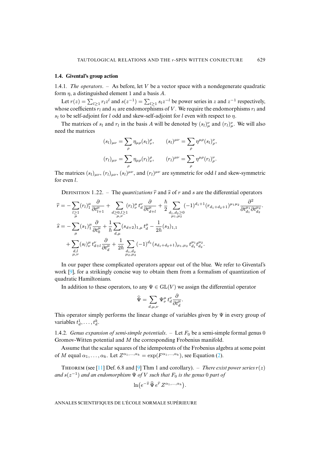# <span id="page-9-0"></span>**1.4. Givental's group action**

1.4.1*. The operators*. – As before, let V be a vector space with a nondegenerate quadratic form  $\eta$ , a distinguished element 1 and a basis A.

Let  $r(z) = \sum_{l \ge 1} r_l z^l$  and  $s(z^{-1}) = \sum_{l \ge 1} s_l z^{-l}$  be power series in z and  $z^{-1}$  respectively, whose coefficients  $r_l$  and  $s_l$  are endomorphisms of V. We require the endomorphisms  $r_l$  and  $s_l$  to be self-adjoint for l odd and skew-self-adjoint for l even with respect to  $\eta$ .

The matrices of  $s_l$  and  $r_l$  in the basis A will be denoted by  $(s_l)_{\mu}^{\nu}$  and  $(r_l)_{\mu}^{\nu}$ . We will also need the matrices

$$
(s_l)_{\mu\nu} = \sum_{\rho} \eta_{\mu\rho}(s_l)_{\nu}^{\rho}, \qquad (s_l)^{\mu\nu} = \sum_{\rho} \eta^{\mu\rho}(s_l)_{\rho}^{\nu},
$$

$$
(r_l)_{\mu\nu} = \sum_{\rho} \eta_{\mu\rho}(r_l)_{\nu}^{\rho}, \qquad (r_l)^{\mu\nu} = \sum_{\rho} \eta^{\mu\rho}(r_l)_{\rho}^{\nu}.
$$

The matrices  $(s_l)_{\mu\nu}$ ,  $(r_l)_{\mu\nu}$ ,  $(s_l)^{\mu\nu}$ , and  $(r_l)^{\mu\nu}$  are symmetric for odd l and skew-symmetric for even l.

DEFINITION 1.22. – The *quantizations*  $\hat{r}$  and  $\hat{s}$  of r and s are the differential operators

.

$$
\begin{split}\n\widehat{r} &= -\sum_{l \geq 1} (r_l)_1^{\mu} \frac{\partial}{\partial t_{l+1}^{\mu}} + \sum_{d \geq 0, l \geq 1} (r_l)_\nu^{\mu} t_d^{\nu} \frac{\partial}{\partial t_{d+l}^{\mu}} + \frac{\hbar}{2} \sum_{d_1, d_2 \geq 0} (-1)^{d_1+1} (r_{d_1+d_2+1})^{\mu_1 \mu_2} \frac{\partial^2}{\partial t_{d_1}^{\mu_1} \partial t_{d_2}^{\mu_2}} \\
\widehat{s} &= -\sum_{\mu} (s_1)_1^{\mu} \frac{\partial}{\partial t_0^{\mu}} + \frac{1}{\hbar} \sum_{d, \mu} (s_{d+2})_{1, \mu} t_d^{\mu} - \frac{1}{2\hbar} (s_3)_{1, 1} \\
&+ \sum_{d, l} (s_l)_\nu^{\mu} t_{d+l}^{\nu} \frac{\partial}{\partial t_d^{\mu}} + \frac{1}{2\hbar} \sum_{d_1, d_2} (-1)^{d_1} (s_{d_1+d_2+1})_{\mu_1, \mu_2} t_{d_1}^{\mu_1} t_{d_2}^{\mu_2}.\n\end{split}
$$

In our paper these complicated operators appear out of the blue. We refer to Givental's work [9], for a strikingly concise way to obtain them from a formalism of quantization of quadratic Hamiltonians.

In addition to these operators, to any  $\Psi \in GL(V)$  we assign the differential operator

$$
\widehat{\Psi} = \sum_{d,\mu,\nu} \Psi^{\mu}_{\nu} t^{\nu}_{d} \frac{\partial}{\partial t^{\mu}_{d}}.
$$

This operator simply performs the linear change of variables given by  $\Psi$  in every group of variables  $t_d^1, \ldots, t_d^k$ .

1.4.2*.* Genus expansion of semi-s[im](#page-5-1)ple potentials.  $-$  Let  $F_0$  be a semi-simple formal genus 0 Gromov-Witten potential and M the corresponding Frobenius manifold.

Assume that th[e sc](#page-37-1)alar squares o[f t](#page-37-5)he idempotents of the Frobenius algebra at some point of M equal  $\alpha_1, \ldots, \alpha_k$ . Let  $Z^{\alpha_1, \ldots, \alpha_k} = \exp(F^{\alpha_1, \ldots, \alpha_k})$ , see Equation (2).

THEOREM (see [11] Def. 6.8 and [9] Thm 1 and corollary). – *There exist power series*  $r(z)$ and  $s(z^{-1})$  and an endomorphism  $\Psi$  of  $V$  such that  $F_0$  is the genus 0 part of

$$
\ln\bigl(e^{-\widehat{s}}\,\widehat{\Psi}\,e^{\widehat{r}}\,Z^{\alpha_1,\ldots,\alpha_k}\bigr).
$$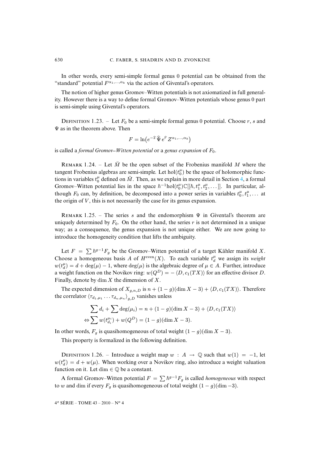In other words, every semi-simple formal genus 0 potential can be obtained from the "standard" potential  $F^{\alpha_1,...,\alpha_k}$  via the action of Givental's operators.

The notion of higher genus Gromov–Witten potentials is not axiomatized in full generality. However there is a way to define formal Gromov–Witten potentials whose genus 0 part is semi-simple using Givental's operators.

DEFINITION 1.23. – Let  $F_0$  be a semi-simple formal genus 0 potential. Choose r, s and  $\Psi$  as in the theorem above. Then

$$
F = \ln \left( e^{-\widehat{s}} \,\widehat{\Psi} \, e^{\widehat{r}} \, Z^{\alpha_1, \dots, \alpha_k} \right)
$$

is called a *formal Gromov–Witten potential* or a *genus expansion* of  $F_0$ .

REMARK 1.24. – Let  $\tilde{M}$  be the open subset of the Frobenius manifold M where the tangent Frobenius algebras are semi-simple. Let  $hol(t_0^{\mu})$  be the space of holomorphic functions in variables  $t_0^{\mu}$  defined on  $\check{M}$ . Then, as we explain in more detail in Section 4, a formal Gromov–Witten potential lies in the space  $\hbar^{-1}$ hol $(t_0^{\mu})\mathbb{C}[[\hbar, t_1^{\mu}, t_2^{\mu}, \dots]]$ . In particular, although  $F_0$  can, by definition, be decomposed into a power series in variables  $t_0^{\mu}, t_1^{\mu}, \ldots$  at the origin of  $V$ , this is not necessarily the case for its genus expansion.

REMARK 1.25. – The series s and the endomorphism  $\Psi$  in Givental's theorem are uniquely determined by  $F_0$ . On the other hand, the series r is not determined in a unique way; as a consequence, the genus expansion is not unique either. We are now going to introduce the homogeneity condition that lifts the ambiguity.

Let  $F = \sum \hbar^{g-1}F_g$  be the Gromov–Witten potential of a target Kähler manifold X. Choose a homogeneous basis A of  $H^{\text{even}}(X)$ . To each variable  $t_d^{\mu}$  we assign its *weight*  $w(t_d^{\mu}) = d + \deg(\mu) - 1$ , where  $\deg(\mu)$  is the algebraic degree of  $\mu \in A$ . Further, introduce a weight function on the Novikov ring:  $w(Q^D) = -\langle D, c_1(TX) \rangle$  for an effective divisor D. Finally, denote by  $\dim X$  the dimension of X.

The expected dimension of  $X_{g,n,D}$  is  $n + (1 - g)(\dim X - 3) + \langle D, c_1(TX) \rangle$ . Therefore the correlator  $\langle \tau_{d_1,\mu_1} \dots \tau_{d_n,\mu_n} \rangle_{g,D}$  vanishes unless

$$
\sum d_i + \sum \deg(\mu_i) = n + (1 - g)(\dim X - 3) + \langle D, c_1(TX) \rangle
$$
  

$$
\Leftrightarrow \sum w(t_{d_i}^{\mu_i}) + w(Q^D) = (1 - g)(\dim X - 3).
$$

<span id="page-10-0"></span>In other words,  $F_g$  is quasihomogeneous of total weight  $(1 - g)(\dim X - 3)$ .

This property is formalized in the following definition.

DEFINITION 1.26. – Introduce a weight map  $w : A \rightarrow \mathbb{Q}$  such that  $w(1) = -1$ , let  $w(t_d^{\mu}) = d + w(\mu)$ . When working over a Novikov ring, also introduce a weight valuation function on it. Let dim  $\in \mathbb{Q}$  be a constant.

A formal Gromov–Witten potential  $F = \sum \hbar^{g-1}F_g$  is called *homogeneous* with respect to w and dim if every  $F_g$  is quasihomogeneous of total weight  $(1 - g)(\dim - 3)$ .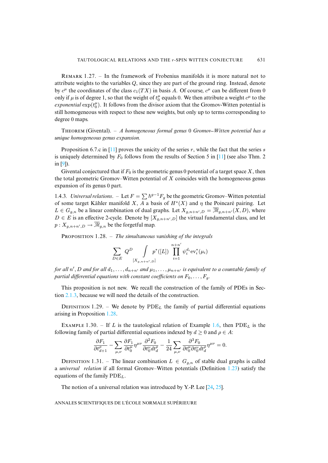REMARK  $1.27.$  – In the framework of Frobenius manifolds it is more natural not to attribute weights to the variables  $Q$ , since they are part of the ground ring. Instead, denote by  $c^{\mu}$  the coordinates of the class  $c_1(TX)$  in basis A. Of course,  $c^{\mu}$  can be different from 0 only if  $\mu$  is of degree 1, so that the weight of  $t_0^{\mu}$  equals 0. We then attribute a weight  $c^{\mu}$  to the *exponential*  $\exp(t_0^{\mu})$ . It follows from the divisor axiom that the Gromov-Witten potential is still homogeneous with respect to these new weights, but only up to terms corresponding to degree 0 maps.

T (Givental[\). –](#page-37-1) *A homogeneous formal genus* 0 *Gromov [Witt](#page-37-1)en potential has a uni[qu](#page-37-5)e homogeneous genus expansion.*

Proposition 6.7.c in [11] proves the unicity of the series  $r$ , while the fact that the series  $s$ is uniquely determined by  $F_0$  follows from the results of Section 5 in [11] (see also Thm. 2 in [9]).

Givental conjectured that if  $F_0$  is the geometric genus 0 potential of a target space X, then the total geometric Gromov–Witten potential of  $X$  coincides with the homogeneous genus expansion of its genus 0 part.

<span id="page-11-0"></span>1.4.3. Universal relations.  $-$  Let  $F = \sum \hbar^{g-1}F_g$  be the geometric Gromov–Witten potential of some target Kähler manifold X, A a basis of  $H^*(X)$  and  $\eta$  the Poincaré pairing. Let  $L \in G_{g,n}$  be a linear combination of dual graphs. Let  $X_{g,n+n',D} = \overline{\mathcal{M}}_{g,n+n'}(X,D)$ , where  $D \in E$  is an effective 2-cycle. Denote by  $[X_{g,n+n',D}]$  the virtual fundamental class, and let  $p: X_{g,n+n',D} \to \overline{\mathcal{M}}_{g,n}$  be the forgetful map.

PROPOSITION 1.28. - *The simultaneous vanishing of the integrals* 

$$
\sum_{D \in E} Q^D \int_{[X_{g,n+n'},D]} p^*([L]) \prod_{i=1}^{n+n'} \psi_i^{d_i} \text{ev}_i^*(\mu_i)
$$

for all  $n'$ , D and for all  $d_1, \ldots, d_{n+n'}$  and  $\mu_1, \ldots, \mu_{n+n'}$  is equivalent to a countable family of *part[ial diff](#page-14-0)erential equations with constant coefficients on*  $F_0, \ldots, F_q$ .

This proposition is not new. We recall the construction of the family of PDEs in Section 2.1.3, because we [will n](#page-11-0)eed the details of the construction.

DEFINITION 1.29. – We denote by  $PDE_L$  the family of parti[al di](#page-3-1)fferential equations arising in Proposition 1.28.

EXAMPLE 1.30. – If L is the tautological relation of Example 1.6, then PDE<sub>L</sub> is the following family of partial differential equations indexed by  $d \geq 0$  and  $\rho \in A$ :

$$
\frac{\partial F_1}{\partial t^\rho_{d+1}}-\sum_{\mu,\nu}\frac{\partial F_1}{\partial t^\mu_0}\eta^{\mu\nu}\frac{\partial^2 F_0}{\partial t^\nu_0 dt^\rho_d}-\frac{1}{24}\sum_{\mu,\nu}\frac{\partial^3 F_0}{\partial t^\mu_0\partial t^\nu_0 dt^\rho_d}\eta^{\mu\nu}=0.
$$

DEFINITION 1.31. – The linear combination  $L \in G_{g,n}$  of stable dual graphs is called a *universal relation* if all formal Gromov–Witten potentials (D[efin](#page-37-13)[itio](#page-37-14)n 1.23) satisfy the equations of the family  $PDE<sub>L</sub>$ .

The notion of a universal relation was introduced by Y.-P. Lee [24, 25].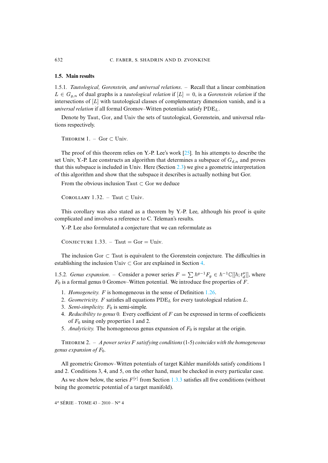# <span id="page-12-0"></span>**1.5. Main results**

1.5.1*. Tautological, Gorenstein, and universal relations*. – Recall that a linear combination  $L \in G_{q,n}$  of dual graphs is a *tautological relation* if  $[L] = 0$ , is a *Gorenstein relation* if the intersections of  $[L]$  with tautological classes of complementary dimension vanish, and is a *universal relation* if all formal Gromov–Witten potentials satisfy  $PDE_L$ .

<span id="page-12-2"></span>Denote by Taut, Gor, and Univ the sets of tautological, Gorenstein, and universal relations respectively.

THEOREM  $1. - \text{Gor } \text{\textbf{C}$  Univ.

The proof of this theorem relies on Y.-P. Lee's work  $[25]$ . In his attempts to describe the set Univ, Y.-P. Lee constructs an algorithm that determines a subspace of  $G_{d,n}$  and proves that this subspace is included in Univ. Here (Section 2.3) we give a geometric interpretation of this algorithm and show that the subspace it describes is actually nothing but Gor.

From the obvious inclusion Taut  $\subset$  Gor we deduce

COROLLARY 1.32. – Taut  $\subset$  Univ.

This corollary was also stated as a theorem by Y.-P. Lee, although his proof is quite complicated and involves a reference to C. Teleman's results.

Y.-P. Lee also formulated a conjecture that we can reformulate as

CONJECTURE 1.33. – Taut =  $Gor =$  Univ.

The inclusion Gor  $\subset$  Taut is equivalent to the Gorenstein conjecture. The difficulties in establishing the inclusion Univ  $\subset$  Gor are explained in Section 4.

1.5.2*. Genus expansion.* – Consider a power series  $F = \sum \hbar^{g-1}F_g \in \hbar^{-1}\mathbb{C}[[\hbar; t_d^{\mu}]],$  $F = \sum \hbar^{g-1}F_g \in \hbar^{-1}\mathbb{C}[[\hbar; t_d^{\mu}]],$  where  $F_0$  is a formal genus 0 Gromov–Witten potential. We introduce five properties of F.

- 1. *Homogeneity.* F is homogeneous in the sense of Definition 1.26.
- 2. *Geometricity.* F satisfies all equations  $PDE<sub>L</sub>$  for every tautological relation L.
- 3. *Semi-simplicity.*  $F_0$  is semi-simple.
- <span id="page-12-1"></span>4. *Reducibility to genus* 0*.* Every coefficient of F can be expressed in terms of coefficients of  $F_0$  using only properties 1 and 2.
- 5. *Analyticity*. The homogeneous genus expansion of  $F_0$  is regular at the origin.

THEOREM 2.  $-$  *A power series* F *satisfying conditions* (1-5) *coincides with the homogeneous genus expansion of*  $F_0$ *.* 

All geometric Gromov–Witten potentials of tar[get K](#page-8-0)ähler manifolds satisfy conditions 1 and 2. Conditions 3, 4, and 5, on the other hand, must be checked in every particular case.

As we show below, the series  $F^{[r]}$  from Section 1.3.3 satisfies all five conditions (without being the geometric potential of a target manifold).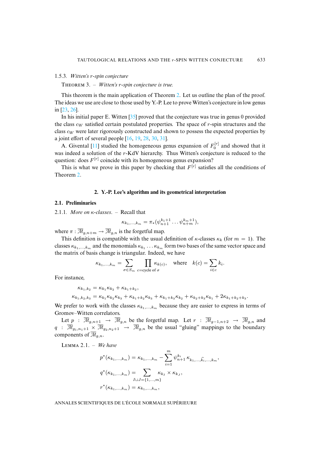# 1.5.3*. Witten's* r*-spin conjecture*

[T](#page-37-15)HEOREM 3. – *Witten's r-spin conjecture is true.* 

This theorem is the main app[lica](#page-38-2)tion of Theorem 2. Let us outline the plan of the proof. The ideas we use are close to those used by Y.-P. Lee to prove Witten's conjecture in low genus in [23, 26].

In his initial paper E. Witte[n \[3](#page-37-7)[5\] p](#page-37-8)[rove](#page-38-4)[d t](#page-38-1)[hat](#page-38-0) the conjecture was true in genus 0 provided the class  $c_W$  sa[tisfi](#page-37-1)ed certain postulated properties. The space of r-spin structures and the class  $c_W$  were later rigorously constructed and shown to possess the expected properties by a joint effort of several people [16, 19, 28, 30, 31].

A. Givental [11] studied the homogeneous genus expansion of  $F_0^{[r]}$  and showed that it was inde[ed](#page-12-1) a solution of the r-KdV hierarchy. Thus Witten's conjecture is reduced to the question: does  $F^{[r]}$  coincide with its homogeneous genus expansion?

This is what we prove in this paper by checking that  $F^{[r]}$  satisfies all the conditions of Theorem 2.

#### **2. Y.-P. Lee's algorithm and its geometrical interpretation**

# **2.1. Preliminaries**

2.1.1*. More on* κ*-classes*. – Recall that

$$
\kappa_{k_1,\dots,k_m} = \pi_*(\psi_{n+1}^{k_1+1}\dots\psi_{n+m}^{k_m+1}),
$$

where  $\pi : \overline{\mathcal{M}}_{q,n+m} \to \overline{\mathcal{M}}_{q,n}$  is the forgetful map.

This definition is compatible with the usual definition of  $\kappa$ -classes  $\kappa_k$  (for  $m = 1$ ). The classes  $\kappa_{k_1,...,k_m}$  and the monomials  $\kappa_{k_1} \dots \kappa_{k_m}$  form two bases of the same vector space and the matrix of basis change is triangular. Indeed, we have

$$
\kappa_{k_1,\dots,k_m} = \sum_{\sigma \in S_m} \prod_{c=\text{cycle of }\sigma} \kappa_{k(c)}, \quad \text{where} \quad k(c) = \sum_{i \in c} k_i.
$$

For instance,

$$
\kappa_{k_1,k_2} = \kappa_{k_1} \kappa_{k_2} + \kappa_{k_1+k_2},
$$

 $\kappa_{k_1,k_2,k_3} = \kappa_{k_1} \kappa_{k_2} \kappa_{k_3} + \kappa_{k_1+k_2} \kappa_{k_3} + \kappa_{k_1+k_3} \kappa_{k_2} + \kappa_{k_2+k_3} \kappa_{k_1} + 2\kappa_{k_1+k_2+k_3}.$ 

We prefer to work with the classes  $\kappa_{k_1,\dots,k_m}$  because they are easier to express in terms of Gromov–Witten correlators.

<span id="page-13-0"></span>Let  $p : \overline{\mathcal{M}}_{g,n+1} \to \overline{\mathcal{M}}_{g,n}$  be the forgetful map. Let  $r : \overline{\mathcal{M}}_{g-1,n+2} \to \overline{\mathcal{M}}_{g,n}$  and  $q : \overline{\mathcal{M}}_{q_1,n_1+1} \times \overline{\mathcal{M}}_{q_2,n_2+1} \rightarrow \overline{\mathcal{M}}_{q,n}$  be the usual "gluing" mappings to the boundary components of  $\overline{\mathcal{M}}_{q,n}$ .

LEMMA 2.1. - We have

$$
p^*(\kappa_{k_1,\dots,k_m}) = \kappa_{k_1,\dots,k_m} - \sum_{i=1}^m \psi_{n+1}^{k_i} \kappa_{k_1,\dots,\widehat{k_i},\dots,k_m},
$$

$$
q^*(\kappa_{k_1,\dots,k_m}) = \sum_{I\sqcup J=\{1,\dots,m\}} \kappa_{k_I} \times \kappa_{k_J},
$$

$$
r^*(\kappa_{k_1,\dots,k_m}) = \kappa_{k_1,\dots,k_m},
$$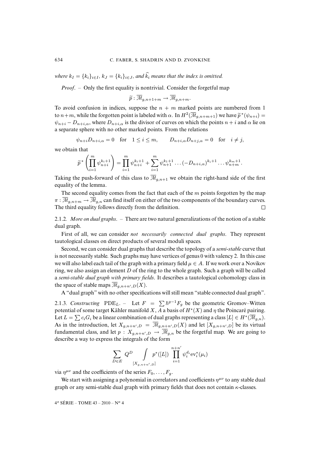*where*  $k_I = \{k_i\}_{i \in I}$ *,*  $k_J = \{k_i\}_{i \in J}$ *, and*  $\hat{k}_i$  *means that the index is omitted.* 

*Proof*. – Only the first equality is nontrivial. Consider the forgetful map

$$
\widetilde{p} : \overline{\mathcal{M}}_{g,n+1+m} \to \overline{\mathcal{M}}_{g,n+m}.
$$

To avoid confusion in indices, suppose the  $n + m$  marked points are numbered from 1 to  $n+m$ , while the forgotten point is labeled with  $\alpha$ . In  $H^2(\overline{M}_{g,n+m+1})$  we have  $\widetilde{p}^*(\psi_{n+i}) =$  $\psi_{n+i} - D_{n+i,\alpha}$ , where  $D_{n+i,\alpha}$  is the divisor of curves on which the points  $n+i$  and  $\alpha$  lie on a separate sphere with no other marked points. From the relations

$$
\psi_{n+i}D_{n+i,\alpha} = 0
$$
 for  $1 \le i \le m$ ,  $D_{n+i,\alpha}D_{n+j,\alpha} = 0$  for  $i \ne j$ ,

we obtain that

$$
\widetilde{p}^* \left( \prod_{i=1}^m \psi_{n+i}^{k_i+1} \right) = \prod_{i=1}^m \psi_{n+i}^{k_i+1} + \sum_{i=1}^m \psi_{n+1}^{k_1+1} \dots (-D_{n+i,\alpha})^{k_i+1} \dots \psi_{n+m}^{k_m+1}.
$$

Taking the push-forward of this class to  $\overline{\mathcal{M}}_{q,n+1}$  we obtain the right-hand side of the first equality of the lemma.

The second equality comes from the fact that each of the  $m$  points forgotten by the map  $\pi : \overline{\mathcal{M}}_{g,n+m} \to \overline{\mathcal{M}}_{g,n}$  can find itself on either of the two components of the boundary curves. The third equality follows directly from the definition.  $\Box$ 

2.1.2*. More on dual graphs*. – There are two natural generalizations of the notion of a stable dual graph.

First of all, we can consider *not necessarily connected dual graphs*. They represent tautological classes on direct products of several moduli spaces.

Second, we can consider dual graphs that describe the topology of a *semi-stable* curve that is not necessarily stable. Such graphs may have vertices of genus 0 with valency 2. In this case we will also label each tail of the graph with a primary field  $\mu \in A$ . If we work over a Novikov ring, we also assign an element  $D$  of the ring to the whole graph. Such a graph will be called a *semi-stable dual graph with primary fields*. It describes a tautological cohomology class in the space of stable maps  $\overline{\mathcal{M}}_{g,n+n',D}(X)$ .

A "dual graph" with no other specifications will still mean "stable connected dual graph".

<span id="page-14-0"></span>2.1.3*. Constructing* PDE<sub>L</sub>. – Let  $F = \sum \hbar^{g-1}F_g$  be the geometric Gromov–Witten potential of some target Kähler manifold X, A a basis of  $H^*(X)$  and  $\eta$  the Poincaré pairing. Let  $L = \sum c_i G_i$  be a linear combination of dual graphs representing a class  $[L] \in H^*(\overline{\mathcal{M}}_{g,n})$ . As in the introduction, let  $X_{g,n+n',D} = \overline{\mathcal{M}}_{g,n+n',D}(X)$  and let  $[X_{g,n+n',D}]$  be its virtual fundamental class, and let  $p: X_{g,n+n',D} \to \overline{M}_{g,n}$  be the forgetful map. We are going to describe a way to express the integrals of the form

$$
\sum_{D \in E} Q^D \int_{[X_{g,n+n'},D]} p^*([L]) \prod_{i=1}^{n+n'} \psi_i^{d_i} \text{ev}_i^*(\mu_i)
$$

via  $\eta^{\mu\nu}$  and the coefficients of the series  $F_0, \ldots, F_g$ .

We start with assigning a polynomial in correlators and coefficients  $\eta^{\mu\nu}$  to any stable dual graph or any semi-stable dual graph with primary fields that does not contain  $\kappa$ -classes.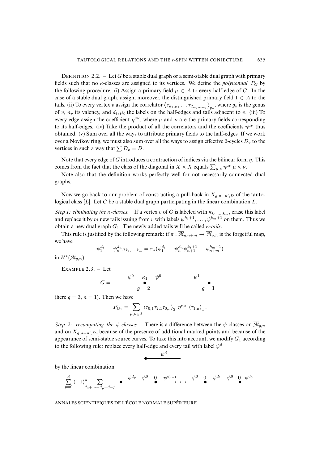DEFINITION 2.2. – Let G be a stable dual graph or a semi-stable dual graph with primary fields such that no  $\kappa$ -classes are assigned to its vertices. We define the *polynomial*  $P_G$  by the following procedure. (i) Assign a primary field  $\mu \in A$  to every half-edge of G. In the case of a stable dual graph, assign, moreover, the distinguished primary field  $1 \in A$  to the tails. (ii) To every vertex v assign the correlator  $\langle\tau_{d_1,\mu_1}\dots\tau_{d_{n_v},\mu_{n_v}}\rangle_{g_v}$ , where  $g_v$  is the genus of v,  $n_v$  its valency, and  $d_i, \mu_i$  the labels on the half-edges and tails adjacent to v. (iii) To every edge assign the coefficient  $\eta^{\mu\nu}$ , where  $\mu$  and  $\nu$  are the primary fields corresponding to its half-edges. (iv) Take the product of all the correlators and the coefficients  $\eta^{\mu\nu}$  thus obtained. (v) Sum over all the ways to attribute primary fields to the half-edges. If we work over a Novikov ring, we must also sum over all the ways to assign effective 2-cycles  $D<sub>v</sub>$  to the vertices in such a way that  $\sum D_v = D$ .

Note that every edge of G introduces a contraction of indices via the bilinear form  $\eta$ . This comes from the fact that the class of the diagonal in  $X \times X$  equals  $\sum_{\mu,\nu} \eta^{\mu\nu} \mu \times \nu$ .

Note also that the definition works perfectly well for not necessarily connected dual graphs.

Now we go back to our problem of constructing a pull-back in  $X_{g,n+n',D}$  of the tautological class  $[L]$ . Let G be a stable dual graph participating in the linear combination L.

*Step 1: eliminating the*  $\kappa$ -classes. If a vertex v of G is labeled with  $\kappa_{k_1,...,k_m}$ , erase this label and replace it by m new tails issuing from v with labels  $\psi^{k_1+1}, \ldots, \psi^{k_m+1}$  on them. Thus we obtain a new dual graph  $G_1$ . The newly added tails will be called  $\kappa$ -tails.

This rule is justified by the following remark: if  $\pi : \overline{\mathcal{M}}_{g,n+m} \to \overline{\mathcal{M}}_{g,n}$  is the forgetful map, we have

$$
\psi_1^{d_1} \dots \psi_n^{d_n} \kappa_{k_1, \dots, k_m} = \pi_*(\psi_1^{d_1} \dots \psi_n^{d_n} \psi_{n+1}^{k_1+1} \dots \psi_{n+m}^{k_m+1})
$$

in  $H^*(\overline{\mathcal{M}}_{g,n}).$ 

EXAMPLE  $2.3. -$  Let

$$
G = \begin{array}{c} \psi^0 \quad \kappa_1 \quad \psi^0 \qquad \psi^1 \\ \bullet \\ g = 2 \qquad \qquad g = 1 \end{array}
$$

(here  $q = 3$ ,  $n = 1$ ). Then we have

$$
P_{G_1} = \sum_{\mu,\nu \in A} \langle \tau_{0,1} \tau_{2,1} \tau_{0,\nu} \rangle_2 \eta^{\nu \mu} \langle \tau_{1,\mu} \rangle_1.
$$

*Step 2: recomputing the*  $\psi$ -classes. There is a difference between the  $\psi$ -classes on  $\overline{\mathcal{M}}_{q,n}$ and on  $X_{g,n+n',D}$ , because of the presence of additional marked points and because of the appearance of semi-stable source curves. To take this into account, we modify  $G_1$  according to the following rule: replace every half-edge and every tail with label  $\psi^d$ 

$$
\bullet \hspace{1.5cm} \overset{\psi^d}{\hspace{1.5cm}}
$$

by the linear combination

$$
\sum_{p=0}^{d} (-1)^p \sum_{d_0 + \dots + d_p = d-p} \bullet \longrightarrow^{\psi^{d_p} \psi^{0} \quad \underset{\bullet}{\phi^{0}} \quad \psi^{d_{p-1}} \cdots \longrightarrow^{\psi^{0} \quad \underset{\bullet}{\psi^{0}} \quad \psi^{d_1} \quad \psi^{0} \quad \underset{\bullet}{\phi^{d_0}}}
$$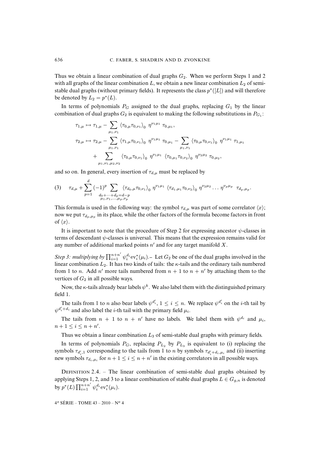Thus we obtain a linear combination of dual graphs  $G_2$ . When we perform Steps 1 and 2 with all graphs of the linear combination  $L$ , we obtain a new linear combination  $L_2$  of semistable dual graphs (without primary fields). It represents the class  $p^*([L])$  and will therefore be denoted by  $L_2 = p^*(L)$ .

In terms of polynomials  $P_G$  assigned to the dual graphs, replacing  $G_1$  by the linear combination of dual graphs  $G_2$  is equivalent to making the following substitutions in  $P_{G_1}$ :

$$
\tau_{1,\mu} \mapsto \tau_{1,\mu} - \sum_{\mu_1,\nu_1} \langle \tau_{0,\mu} \tau_{0,\nu_1} \rangle_0 \eta^{\nu_1 \mu_1} \tau_{0,\mu_1},
$$
  
\n
$$
\tau_{2,\mu} \mapsto \tau_{2,\mu} - \sum_{\mu_1,\nu_1} \langle \tau_{1,\mu} \tau_{0,\nu_1} \rangle_0 \eta^{\nu_1 \mu_1} \tau_{0,\mu_1} - \sum_{\mu_1,\nu_1} \langle \tau_{0,\mu} \tau_{0,\nu_1} \rangle_0 \eta^{\nu_1 \mu_1} \tau_{1,\mu_1}
$$
  
\n
$$
+ \sum_{\mu_1,\nu_1,\mu_2,\nu_2} \langle \tau_{0,\mu} \tau_{0,\nu_1} \rangle_0 \eta^{\nu_1 \mu_1} \langle \tau_{0,\mu_1} \tau_{0,\nu_2} \rangle_0 \eta^{\nu_2 \mu_2} \tau_{0,\mu_2},
$$

and so on. In general, every insertion of  $\tau_{d,\mu}$  must be replaced by

$$
(3) \quad \tau_{d,\mu} + \sum_{p=1}^{d} (-1)^p \sum_{\substack{d_0 + \dots + d_p = d-p \\ \mu_1, \nu_1, \dots, \mu_p, \nu_p}} \langle \tau_{d_0, \mu} \tau_{0, \nu_1} \rangle_0 \eta^{\nu_1 \mu_1} \langle \tau_{d_1, \mu_1} \tau_{0, \nu_2} \rangle_0 \eta^{\nu_2 \mu_2} \dots \eta^{\nu_p \mu_p} \tau_{d_p, \mu_p}
$$

This formula is used in the following way: the symbol  $\tau_{d,\mu}$  was part of some correlator  $\langle x \rangle$ ; now we put  $\tau_{d_p,\mu_p}$  in its place, while the other factors of the formula become factors in front of  $\langle x \rangle$ .

.

It is important to note that the procedure of Step 2 for expressing ancestor  $\psi$ -classes in terms of descendant  $\psi$ -classes is universal. This means that the expression remains valid for any number of additional marked points  $n'$  and for any target manifold  $X$ .

*Step 3: multiplying by*  $\prod_{i=1}^{n+n'} \psi_i^{d_i} ev_i^*(\mu_i)$ . Let  $G_2$  be one of the dual graphs involved in the linear combination  $L_2$ . It has two kinds of tails: the  $\kappa$ -tails and the ordinary tails numbered from 1 to *n*. Add *n'* more tails numbered from  $n + 1$  to  $n + n'$  by attaching them to the vertices of  $G_2$  in all possible ways.

Now, the  $\kappa$ -tails already bear labels  $\psi^k$ . We also label them with the distinguished primary field 1.

The tails from 1 to *n* also bear labels  $\psi^{d_i}$ ,  $1 \le i \le n$ . We replace  $\psi^{d_i}$  on the *i*-th tail by  $\psi^{d'_i+d_i}$  and also label the *i*-th tail with the primary field  $\mu_i$ .

The tails from  $n + 1$  to  $n + n'$  have no labels. We label them with  $\psi^{d_i}$  and  $\mu_i$ ,  $n+1 \leq i \leq n+n'.$ 

Thus we obtain a linear combination  $L_3$  of semi-stable dual graphs with primary fields.

In terms of polynomials  $P_G$ , replacing  $P_{L_2}$  by  $P_{L_3}$  is equivalent to (i) replacing the symbols  $\tau_{d'_i,1}$  corresponding to the tails from 1 to *n* by symbols  $\tau_{d'_i+d_i,\mu_i}$  and (ii) inserting new symbols  $\tau_{d_i,\mu_i}$  for  $n+1 \leq i \leq n+n'$  in the existing correlators in all possible ways.

DEFINITION 2.4. – The linear combination of semi-stable dual graphs obtained by applying Steps 1, 2, and 3 to a linear combination of stable dual graphs  $L \in G_{g,n}$  is denoted by  $p^*(L) \prod_{i=1}^{n+n'} \psi_i^{d_i} \text{ev}_i^*(\mu_i)$ .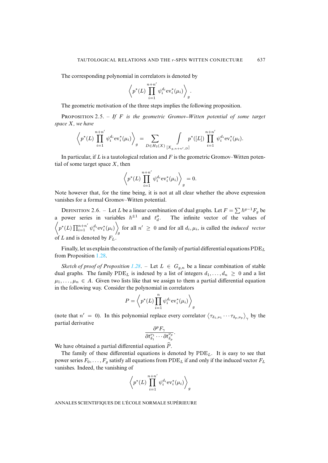The corresponding polynomial in correlators is denoted by

$$
\left\langle p^*(L) \prod_{i=1}^{n+n'} \psi_i^{d_i} \text{ev}_i^*(\mu_i) \right\rangle_g.
$$

The geometric motivation of the three steps implies the following proposition.

PROPOSITION 2.5. – If F is the geometric Gromov–Witten potential of some target *space* X*, we have*

$$
\left\langle p^*(L)\prod_{i=1}^{n+n'} \psi_i^{d_i} \mathrm{ev}_i^*(\mu_i) \right\rangle_g = \sum_{D \in H_2(X)} \int_{[X_{g,n+n',D}]} p^*([L]) \prod_{i=1}^{n+n'} \psi_i^{d_i} \mathrm{ev}_i^*(\mu_i).
$$

In particular, if L is a tautological relation and F is the geometric Gromov–Witten potential of some target space  $X$ , then

$$
\left\langle p^*(L) \prod_{i=1}^{n+n'} \psi_i^{d_i} \text{ev}_i^*(\mu_i) \right\rangle_g = 0.
$$

Note however that, for the time being, it is not at all clear whether the above expression vanishes for a formal Gromov–Witten potential.

DEFINITION 2.6. – Let L be a linear combination of dual graphs. Let  $F = \sum \hbar^{g-1}F_g$  be a power series in variables  $\hbar^{\pm 1}$  and  $t_d^{\mu}$ . The infinite vector of the values of  $\left\langle p^*(L)\prod_{i=1}^{n+n'} \psi_i^{d_i} \text{ev}_i^*(\mu_i) \right\rangle$ for all  $n' \geq 0$  and for all  $d_i, \mu_i$ , is called the *induced vector* of L and is denot[ed by](#page-11-0)  $F_L$ .

Finally, let us explain the cons[tructi](#page-11-0)on of the family of partial differential equations  $PDE<sub>L</sub>$ from Proposition 1.28.

*Sketch of proof of Proposition* 1.28. – Let  $L \in G_{g,n}$  be a linear combination of stable dual graphs. The family  $PDE_L$  is indexed by a list of integers  $d_1, \ldots, d_n \geq 0$  and a list  $\mu_1, \ldots, \mu_n \in A$ . Given two lists like that we assign to them a partial differential equation in the following way. Consider the polynomial in correlators

$$
P = \left\langle p^*(L) \prod_{i=1}^n \psi_i^{d_i} \text{ev}_i^*(\mu_i) \right\rangle_g
$$

(note that  $n' = 0$ ). In this polynomial replace every correlator  $\langle \tau_{\delta_1,\nu_1} \cdots \tau_{\delta_p,\nu_p} \rangle_{\gamma}$  by the partial derivative

$$
\frac{\partial^p F_{\gamma}}{\partial t_{\delta_1}^{\nu_1}\cdots\partial t_{\delta_p}^{\nu_p}}
$$

.

We have obtained a partial differential equation  $\hat{P}$ .

The family of these differential equations is denoted by  $PDE<sub>L</sub>$ . It is easy to see that power series  $F_0, \ldots, F_q$  satisfy all equations from  $PDE_L$  if and only if the induced vector  $F_L$ vanishes. Indeed, the vanishing of

$$
\left\langle p^*(L)\prod_{i=1}^{n+n'} \psi_i^{d_i} \textnormal{ev}_i^*(\mu_i) \right\rangle_g
$$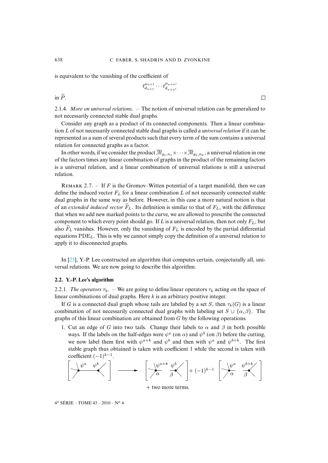is equivalent to the vanishing of the coefficient of

$$
t_{d_{n+1}}^{\mu_{n+1}} \cdots t_{d_{n+n'}}^{\mu_{n+n'}}
$$

 $\Box$ 

in  $\hat{P}$ .

2.1.4*. More on universal relations*. – The notion of universal relation can be generalized to not necessarily connected stable dual graphs.

Consider any graph as a product of its connected components. Then a linear combination L of not necessarily connected stable dual graphs is called a *universal relation* if it can be represented as a sum of several products such that every term of the sum contains a universal relation for connected graphs as a factor.

<span id="page-18-1"></span>In other words, if we consider the product  $\overline{\mathcal M}_{g_1,n_1}\times\cdots\times\overline{\mathcal M}_{g_k,n_k}$  , a universal relation in one of the factors times any linear combination of graphs in the product of the remaining factors is a universal relation, and a linear combination of universal relations is still a universal relation.

REMARK 2.7. – If F is the Gromov–Witten potential of a target manifold, then we can define the induced vector  $F<sub>L</sub>$  for a linear combination L of not necessarily connected stable dual graphs in the same way as before. However, in this case a more natural notion is that of an *extended induced vector*  $\widehat{F}_L$ . Its definition is similar to that of  $F_L$ , with the difference that when we add new marked points to the curve, we are allowed to prescribe the connected component to which every point should go. If L is a universal relation, then not only  $F_L$ , but also  $\hat{F}_L$  vanishes. However, only the vanishing of  $F_L$  is encoded by the partial differential equat[ions](#page-37-14)  $PDE<sub>L</sub>$ . This is why we cannot simply copy the definition of a universal relation to apply it to disconnected graphs.

<span id="page-18-0"></span>In [25], Y.-P. Lee constructed an algorithm that computes certain, conjecturally all, universal relations. We are now going to describe this algorithm.

# **2.2. Y.-P. Lee's algorithm**

2.2.1*. The operators*  $\tau_{k}$ . – We are going to define linear operators  $\tau_{k}$  acting on the space of linear combinations of dual graphs. Here  $k$  is an arbitrary positive integer.

If G is a connected dual graph whose tails are labeled by a set S, then  $\tau_k(G)$  is a linear combination of not necessarily connected dual graphs with labeling set  $S \cup \{\alpha, \beta\}$ . The graphs of this linear combination are obtained from G by the following operations.

1. Cut an edge of G into two tails. Change their labels to  $\alpha$  and  $\beta$  in both possible ways. If the labels on the half-edges were  $\psi^a$  (on  $\alpha$ ) and  $\psi^b$  (on  $\beta$ ) before the cutting, we now label them first with  $\psi^{a+k}$  and  $\psi^b$  and then with  $\psi^a$  and  $\psi^{b+k}$ . The first stable graph thus obtained is taken with coefficient 1 while the second is taken with coefficient  $(-1)^{k-1}$ .



+ two more terms.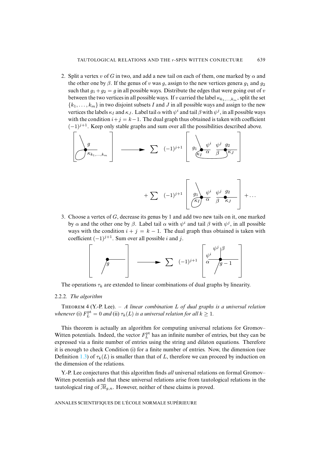2. Split a vertex v of G in two, and add a new tail on each of them, one marked by  $\alpha$  and the other one by  $\beta$ . If the genus of v was g, assign to the new vertices genera  $g_1$  and  $g_2$ such that  $g_1 + g_2 = g$  in all possible ways. Distribute the edges that were going out of v between the two vertices in all possible ways. If v carried the label  $\kappa_{k_1,\dots,k_m}$ , split the set  ${k_1, \ldots, k_m}$  in two disjoint subsets I and J in all possible ways and assign to the new vertices the labels  $\kappa_I$  and  $\kappa_J$ . Label tail  $\alpha$  with  $\psi^i$  and tail  $\beta$  with  $\psi^j$ , in all possible ways with the condition  $i+j = k-1$ . The dual graph thus obtained is taken with coefficient  $(-1)^{j+1}$ . Keep only stable graphs and sum over all the possibilities described above.

$$
\left[\begin{array}{ccc} g \\ g \\ \hline \kappa_{k_1,\ldots,k_m} \end{array}\right] \longrightarrow \sum (-1)^{j+1} \left[\begin{array}{ccc} g_1 & \psi^i & \psi^j & g_2 \\ g_1 & \overbrace{\kappa_I & \alpha & \beta} \kappa_J \end{array}\right]
$$

$$
+\sum (-1)^{j+1}\left[\begin{array}{cc} \lambda & \psi^i & \psi^j & g_2 \\ \hline \zeta^k & \alpha & \beta & \kappa_J \end{array}\right]+...
$$

3. Choose a vertex of G, decrease its genus by 1 and add two new tails on it, one marked by  $\alpha$  and the other one by  $\beta$ . Label tail  $\alpha$  with  $\psi^i$  and tail  $\beta$  with  $\psi^j$ , in all possible ways with the condition  $i + j = k - 1$ . The dual graph thus obtained is taken with coefficient  $(-1)^{j+1}$ . Sum over all possible *i* and *j*.

$$
\left[\begin{array}{c}\n\sqrt{g}\n\end{array}\right] \longrightarrow \sum (-1)^{j+1} \begin{bmatrix}\n\psi^i \\
\frac{\psi^i}{\alpha} \\
\end{bmatrix} \frac{\beta}{g-1}
$$

<span id="page-19-0"></span>The operations  $\tau_k$  are extended to linear combinations of dual graphs by linearity.

### 2.2.2*. The algorithm*

THEOREM 4 (Y.-P. Lee). - *A linear combination* L of dual graphs is a universal relation *whenever* (i)  $F_L^{\text{pt}} = 0$  *and* (ii)  $\tau_k(L)$  *is a universal relation for all*  $k \geq 1$ *.* 

This theorem is actually an algorithm for computing universal relations for Gromov– Witten po[tenti](#page-3-0)als. Indeed, the vector  $F_L^{\text{pt}}$  has an infinite number of entries, but they can be expressed via a finite number of entries using the string and dilaton equations. Therefore it is enough to check Condition (i) for a finite number of entries. Now, the dimension (see Definition 1.3) of  $\tau_k(L)$  is smaller than that of L, therefore we can proceed by induction on the dimension of the relations.

Y.-P. Lee conjectures that this algorithm finds *all* universal relations on formal Gromov– Witten potentials and that these universal relations arise from tautological relations in the tautological ring of  $\overline{\mathcal{M}}_{q,n}$ . However, neither of these claims is proved.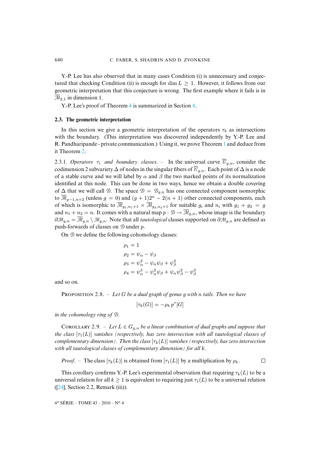Y.-P. Lee has also observed that in many cases Condition (i) is unnecessary and conjec-tured that checking Condition [\(ii\)](#page-19-0) is enough for dim  $L > 1$ [.](#page-28-0) However, it follows from our geometric interpretation that this conjecture is wrong. The first example where it fails is in  $\overline{\mathcal{M}}_{2,1}$  in dimension 1.

Y.-P. Lee's proof of Theorem 4 is summarized in Section 4.

#### **2.3. The geometric interpretation**

<span id="page-20-0"></span>In this [sec](#page-12-1)tion we give a geometric interpretation of the operators  $\tau_k$  as intersections with the boundary. (This interpretation was discovered independently by Y.-P. Lee and R. Pandharipande - private communication.) Using it, we prove Theorem 1 and deduce from it Theorem 2.

2.3.1*. Operators*  $\tau_i$  *and boundary classes.* – In the universal curve  $\overline{\mathcal{C}}_{g,n}$ , consider the codimension 2 subvariety  $\Delta$  of nodes in the singular fibers of  $\overline{\mathcal{C}}_{g,n}$ . Each point of  $\Delta$  is a node of a stable curve and we will label by  $\alpha$  and  $\beta$  the two marked points of its normalization identified at this node. This can be done in two ways, hence we obtain a double covering of  $\Delta$  that we will call  $\mathcal{D}$ . The space  $\mathcal{D} = \mathcal{D}_{q,n}$  has one connected component isomorphic to  $\overline{\mathcal{M}}_{g-1,n+2}$  (unless  $g = 0$ ) and  $(g + 1)2^n - 2(n + 1)$  other connected components, each of which is isomorphic to  $\overline{M}_{g_1,n_1+1} \times \overline{M}_{g_2,n_2+1}$  for suitable  $g_i$  and  $n_i$  with  $g_1 + g_2 = g$ and  $n_1 + n_2 = n$ . It comes with a natural map  $p : \mathcal{D} \to \overline{\mathcal{M}}_{g,n}$ , whose image is the boundary  $\partial \mathcal{M}_{q,n} = \overline{\mathcal{M}}_{q,n} \setminus \mathcal{M}_{q,n}$ . Note that all *tautological* classes supported on  $\partial \mathcal{M}_{q,n}$  are defined as push-forwards of classes on  $D$  under p.

On  $\mathcal D$  we define the following cohomology classes:

$$
\rho_1 = 1
$$
  
\n
$$
\rho_2 = \psi_\alpha - \psi_\beta
$$
  
\n
$$
\rho_3 = \psi_\alpha^2 - \psi_\alpha \psi_\beta + \psi_\beta^2
$$
  
\n
$$
\rho_4 = \psi_\alpha^3 - \psi_\alpha^2 \psi_\beta + \psi_\alpha \psi_\beta^2 - \psi_\beta^3
$$

and so on.

PROPOSITION 2.8. – Let G be a dual graph of genus g with n tails. Then we have

 $[\tau_k(G)] = -\rho_k p^*[G]$ 

*in the cohomology ring of* D*.*

COROLLARY 2.9. – Let  $L \in G_{g,n}$  be a linear combination of dual graphs and suppose that *the class*  $[\tau_1(L)]$  *vanishes (respectively, has zero intersection with all tautological classes of complementary dimension). Then the class*  $[\tau_k(L)]$  *vanishes (respectively, has zero intersection with all tautological classes of complementary dimension) for all* k*.*

*[P](#page-37-13)roof.* – The class  $[\tau_k(L)]$  is obtained from  $[\tau_1(L)]$  by a multiplication by  $\rho_k$ .

 $\Box$ 

This corollary confirms Y.-P. Lee's experimental observation that requiring  $\tau_k(L)$  to be a universal relation for all  $k \ge 1$  is equivalent to requiring just  $\tau_1(L)$  to be a universal relation ([24], Section 2.2, Remark (iii)).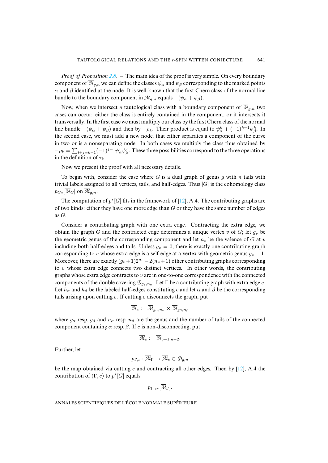*Proof of Proposition 2.8*. – The main idea of the proof is very simple. On every boundary component of  $\overline{M}_{g,n}$  we can define the classes  $\psi_\alpha$  and  $\psi_\beta$  corresponding to the marked points  $\alpha$  and  $\beta$  identified at the node. It is well-known that the first Chern class of the normal line bundle to the boundary component in  $\overline{\mathcal{M}}_{q,n}$  equals  $-(\psi_{\alpha} + \psi_{\beta})$ .

Now, when we intersect a tautological class with a boundary component of  $\overline{\mathcal{M}}_{q,n}$  two cases can occur: either the class is entirely contained in the component, or it intersects it transversally. In the first case we must multiply our class by the first Chern class of the normal line bundle  $-(\psi_{\alpha} + \psi_{\beta})$  and then by  $-\rho_k$ . Their product is equal to  $\psi_{\alpha}^k + (-1)^{k-1} \psi_{\beta}^k$ . In the second case, we must add a new node, that either separates a component of the curve in two or is a nonseparating node. In both cases we multiply the class thus obtained by  $-\rho_k = \sum_{i+j=k-1} (-1)^{j+1} \psi_\alpha^i \psi_\beta^j$ . These three possibilities correspond to the three operations in the definition of  $\tau_k$ .

Now we present the proof with all necessary details.

To begin with, consider the case where  $G$  is a du[al g](#page-37-3)raph of genus  $g$  with  $n$  tails with trivial labels assigned to all vertices, tails, and half-edges. Thus  $[G]$  is the cohomology class  $p_{G*}[\overline{\mathcal{M}}_G]$  on  $\overline{\mathcal{M}}_{g,n}$ .

The computation of  $p^*[G]$  fits in the framework of [12], A.4. The contributing graphs are of two kinds: either they have one more edge than  $G$  or they have the same number of edges as G.

Consider a contributing graph with one extra edge. Contracting the extra edge, we obtain the graph G and the contracted edge determines a unique vertex v of G; let  $q_v$  be the geometric genus of the corresponding component and let  $n<sub>v</sub>$  be the valence of G at v including both half-edges and tails. Unless  $g_v = 0$ , there is exactly one contributing graph corresponding to v whose extra edge is a self-edge at a vertex with geometric genus  $g_v - 1$ . Moreover, there are exactly  $(g_v + 1)2^{n_v} - 2(n_v + 1)$  other contributing graphs corresponding to  $v$  whose extra edge connects two distinct vertices. In other words, the contributing graphs whose extra edge contracts to  $v$  are in one-to-one correspondence with the connected components of the double covering  $\mathcal{D}_{g_v,n_v}$ . Let  $\Gamma$  be a contributing graph with extra edge e. Let  $h_{\alpha}$  and  $h_{\beta}$  be the labeled half-edges constituting e and let  $\alpha$  and  $\beta$  be the corresponding tails arising upon cutting  $e$ . If cutting  $e$  disconnects the graph, put

$$
\overline{\mathcal{M}}_e := \overline{\mathcal{M}}_{g_\alpha, n_\alpha} \times \overline{\mathcal{M}}_{g_\beta, n_\beta}
$$

where  $g_{\alpha}$  resp.  $g_{\beta}$  and  $n_{\alpha}$  resp.  $n_{\beta}$  are the genus and the number of tails of the connected component containing  $\alpha$  resp.  $\beta$ . If e is non-disconnecting, put

$$
\overline{\mathcal{M}}_e := \overline{\mathcal{M}}_{g-1,n+2}.
$$

Further, let

$$
p_{\Gamma,e}:\overline{\mathcal{M}}_{\Gamma}\to\overline{\mathcal{M}}_{e}\subset\mathcal{D}_{g,n}
$$

be the map obtained via cutting e and contracting all other edges. Then by  $[12]$ , A.4 the contribution of  $(\Gamma, e)$  to  $p^*[G]$  equals

$$
p_{\Gamma,e*}[\overline{\mathcal{M}}_\Gamma].
$$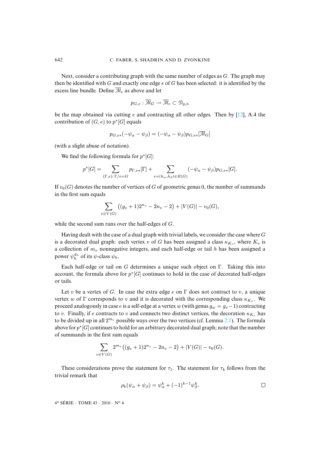Next, consider a contributing graph with the same number of edges as  $G$ . The graph may then be identified with  $G$  and exactly one edge  $e$  of  $G$  has been selected: it is identified by the excess line bundle. Define  $\overline{\mathcal{M}}_e$  as above and let

$$
p_{G,e} : \overline{\mathcal{M}}_G \to \overline{\mathcal{M}}_e \subset \mathcal{D}_{g,n}
$$

be the map obtained via cutting  $e$  and contracting all other edges. Then by  $[12]$ , A.4 the contribution of  $(G, e)$  to  $p^*[G]$  equals

$$
p_{G,e*}(-\psi_\alpha-\psi_\beta)=(-\psi_\alpha-\psi_\beta)p_{G,e*}[\overline{\mathcal{M}}_G]
$$

(with a slight abuse of notation).

We find the following formula for  $p^*[G]$ :

$$
p^*[G] = \sum_{(\Gamma,e):\Gamma/e=G} p_{\Gamma,e*}[\Gamma] + \sum_{e=(h_\alpha,h_\beta)\in E(G)} (-\psi_\alpha - \psi_\beta) p_{G,e*}[G].
$$

If  $v_0(G)$  denotes the number of vertices of G of geometric genus 0, the number of summands in the first sum equals

$$
\sum_{v \in V(G)} \left( (g_v + 1)2^{n_v} - 2n_v - 2 \right) + |V(G)| - v_0(G),
$$

while the second sum runs over the half-edges of G.

 $v$ 

Having dealt with the case of a dual graph with trivial labels, we consider the case where  $G$ is a decorated dual graph: each vertex v of G has been assigned a class  $\kappa_{K_v}$ , where  $K_v$  is a collection of  $m<sub>v</sub>$  nonnegative integers, and each half-edge or tail h has been assigned a power  $\psi_h^{d_h}$  of its  $\psi$ -class  $\psi_h$ .

Each half-edge or tail on G determines a unique such object on Γ. Taking this into account, the formula above for  $p^*[G]$  continues to hold in the case of decorated half-edges or tails.

Let v be a vertex of G. In case the extra edge e on  $\Gamma$  does not contract to v, a unique vertex w of  $\Gamma$  corresponds to v and it is decorated with the correspondi[ng c](#page-13-0)lass  $\kappa_{K_v}$ . We proceed analogously in case e is a self-edge at a vertex w (with genus  $g_w = g_v - 1$ ) contracting to v. Finally, if e contracts to v and connects two distinct vertices, the decoration  $\kappa_{K_v}$  has to be divided up in all  $2^{m_v}$  possible ways over the two vertices (cf. Lemma 2.1). The formula above for  $p^*[G]$  continues to hold for an arbitrary decorated dual graph; note that the number of summands in the first sum equals

$$
\sum_{v \in V(G)} 2^{m_v} ((g_v + 1)2^{n_v} - 2n_v - 2) + |V(G)| - v_0(G).
$$

These considerations prove the statement for  $\tau_1$ . The statement for  $\tau_k$  follows from the trivial remark that

$$
\rho_k(\psi_\alpha + \psi_\beta) = \psi_\alpha^k + (-1)^{k-1} \psi_\beta^k.
$$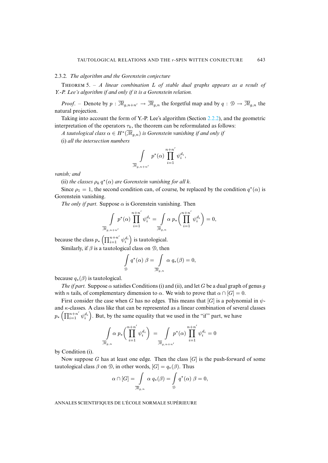# 2.3.2*. The algorithm and the Gorenstein conjecture*

THEOREM 5. –  $A$  linear combination  $L$  of stable dual graphs appears as a result of *Y.-P. Lee's algorithm if and only if it is a Gorenstein relation.*

*Proof.* – Denote by  $p : \overline{\mathcal{M}}_{g,n+n'} \to \overline{\mathcal{M}}_{g,n}$  the forgetful map and by  $q : \mathcal{D} \to \overline{\mathcal{M}}_{g,n}$  the natural projection.

Taking into account the form of Y.-P. Lee's algorithm (Section 2.2.2), and the geometric interpretation of the operators  $\tau_k$ , the theorem can be reformulated as follows:

A tautological class  $\alpha \in H^*(\overline{\mathcal{M}}_{g,n})$  is Gorenstein vanishing if and only if

(i) *all the intersection numbers*

$$
\int\limits_{\overline{\mathcal{M}}_{g,n+n'}}p^*(\alpha)\prod\limits_{i=1}^{n+n'}\psi_i^{d_i},
$$

*vanish; and*

(ii) *the classes*  $\rho_k q^*(\alpha)$  are Gorenstein vanishing for all k.

Since  $\rho_1 = 1$ , the second condition can, of course, be replaced by the condition  $q^*(\alpha)$  is Gorenstein vanishing.

*The only if part.* Suppose  $\alpha$  is Gorenstein vanishing. Then

$$
\int\limits_{\overline{\mathcal{M}}_{g,n+n'}}p^*(\alpha)\prod_{i=1}^{n+n'}\psi_i^{d_i}=\int\limits_{\overline{\mathcal{M}}_{g,n}}\alpha\ p_*\bigg(\prod_{i=1}^{n+n'}\psi_i^{d_i}\bigg)=0,
$$

because the class  $p_*\left(\prod_{i=1}^{n+n'} \psi_i^{d_i}\right)$  is tautological.

Similarly, if  $\beta$  is a tautological class on  $\mathcal{D}$ , then

$$
\int\limits_{\mathcal{D}} q^*(\alpha) \beta = \int\limits_{\overline{\mathcal{M}}_{g,n}} \alpha q_*(\beta) = 0,
$$

because  $q_*(\beta)$  is tautological.

*The if part.* Suppose  $\alpha$  satisfies Conditions (i) and (ii), and let G be a dual graph of genus g with *n* tails, of complementary dimension to  $\alpha$ . We wish to prove that  $\alpha \cap [G] = 0$ .

First consider the case when G has no edges. This means that [G] is a polynomial in  $\psi$ and  $\kappa$ -classes. A class like that can be represented as a linear combination of several classes  $p_*\left(\prod_{i=1}^{n+n'} \psi_i^{d_i}\right)$ . But, by the same equality that we used in the "if" part, we have

$$
\int_{\overline{\mathcal{M}}_{g,n}} \alpha \, p_* \bigg(\prod_{i=1}^{n+n'} \psi_i^{d_i}\bigg) \ = \int_{\overline{\mathcal{M}}_{g,n+n'}} p^*(\alpha) \prod_{i=1}^{n+n'} \psi_i^{d_i} = 0
$$

by Condition (i).

Now suppose G has at least one edge. Then the class  $[G]$  is the push-forward of some tautological class  $\beta$  on  $\mathcal{D}$ , in other words,  $[G] = q_*(\beta)$ . Thus

$$
\alpha \cap [G] = \int_{\overline{\mathcal{M}}_{g,n}} \alpha q_*(\beta) = \int_{\mathcal{D}} q^*(\alpha) \beta = 0,
$$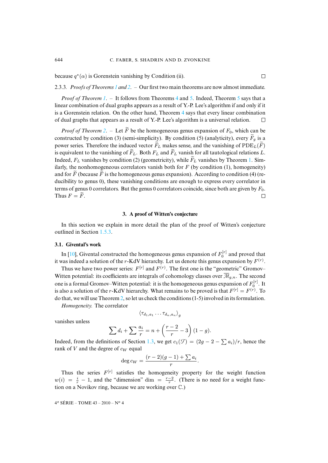because  $q^*(\alpha)$  is Go[ren](#page-12-2)stein vanishing by Conditio[n \(i](#page-19-0)i).

2.3.3*. Proofs of Theorems 1 and 2*. – Our first two main [th](#page-19-0)eorems are now almost immediate.

*Proof of Theorem 1*. – It follows from Theorems 4 and 5. Indeed, Theorem 5 says that a linear combination of dual graphs appears as a result of Y.-P. Lee's algorithm if and only if it is a Gorenstein relat[ion](#page-12-1). On the other hand, Theorem 4 says that every linear combination of dual graphs that appears as a result of Y.-P. Lee's algorithm is a universal relation.  $\Box$ 

*Proof of Theorem 2.* – Let  $\widetilde{F}$  be the homogeneous genus expansion of  $F_0$ , which can be constructed by condition (3) (semi-simplicity). By condition (5) (analyticity), every  $\widetilde{F}_q$  $\widetilde{F}_q$  $\widetilde{F}_q$  is a power series. Therefore the induced vector  $\widetilde{F}_L$  makes sense, and the vanishing of  $PDE_L(\widetilde{F})$ is equivalent to the vanishing of  $F_L$ . Both  $F_L$  and  $F_L$  vanish for all tautological relations L. Indeed,  $F_L$  vanishes by condition (2) (geometricity), while  $\widetilde{F}_L$  vanishes by Theorem 1. Similarly, the nonhomogeneous correlators vanish both for  $F$  (by condition (1), homogeneity) and for  $\overline{F}$  (because  $\overline{F}$  is the homogeneous genus expansion). According to condition (4) (reducibility to genus 0), these vanishing conditions are enough to express every correlator in terms of genus 0 correlators. But the genus 0 correlators coincide, since both are given by  $F_0$ . Thus  $F = \widetilde{F}$ .  $\Box$ 

#### **3. A proof of Witten's conjecture**

In this section we explain in more detail the plan of the proof of Witten's conjecture outlin[ed i](#page-37-0)n Section 1.5.3.

### **3.1. Givental's work**

In [10], Givental constructed the homogeneous genus expansion of  $F_0^{[r]}$  and proved that it was indeed a solution of the r-KdV hierarchy. Let us denote this genus expansion by  $F^{(r)}$ .

Thus we have two power series:  $F^{[r]}$  and  $F^{(r)}$ . The first one is the "geometric" GromovWitt[en](#page-12-1) potential: its coefficients are integrals of cohomology classes over  $\overline{\mathcal{M}}_{q,n}$ . The second one is a formal Gromov–Witten potential: it is the homogeneous genus expansion of  $F_0^{[r]}$ . It is also a solution of the r-KdV hierarchy. What remains to be proved is that  $F^{[r]} = F^{(r)}$ . To do that, we will use Theorem 2, so let us check the conditions (1-5) involved in its formulation.

*Homogeneity.* The correlator

$$
\left<\tau_{d_1,a_1}\dots\tau_{d_n,a_n}\right>_g
$$

vanishes unless

$$
\sum d_i + \sum \frac{a_i}{r} = n + \left(\frac{r-2}{r} - 3\right)(1-g).
$$

Indeed, from the definitions of Section 1.3, we get  $c_1(\mathcal{F}) = (2g - 2 - \sum a_i)/r$ , hence the rank of  $V$  and the degree of  $c_W$  equal

$$
\deg c_W = \frac{(r-2)(g-1) + \sum a_i}{r}.
$$

Thus the series  $F^{[r]}$  satisfies the homogeneity property for the weight function  $w(i) = \frac{i}{r} - 1$ , and the "dimension" dim =  $\frac{r-2}{r}$ . (There is no need for a weight function on a Novikov ring, because we are working over C.)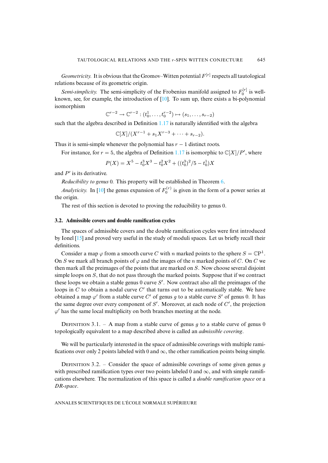*Geometricity.* It is obvious that the Gromov[–W](#page-37-0)itten potential  $F^{[r]}$  respects all tautological relations because of its geometric origin.

*Semi-simplicity.* The semi-simplicity of the Frobenius manifold assigned to  $F_0^{[r]}$  is wellknown, see, for example, the introduction o[f \[10\].](#page-6-0) To sum up, there exists a bi-polynomial isomorphism

$$
\mathbb{C}^{r-2} \to \mathbb{C}^{r-2} : (t_0^1, \dots, t_0^{r-2}) \mapsto (s_1, \dots, s_{r-2})
$$

such that the algebra described in Definition 1.17 is naturally identified with the algebra

$$
\mathbb{C}[X]/(X^{r-1}+s_1X^{r-3}+\cdots+s_{r-2}).
$$

Thus it is semi-simple whenever the polynomial has  $r - 1$  distinct roots.

For instance, for  $r = 5$ , the algebra of Definition 1.17 is isomorphic to  $\mathbb{C}[X]/P'$ , where

$$
P(X) = X^5 - t_0^3 X^3 - t_0^2 X^2 + ((t_0^3)^2 / 5 - t_0^1) X
$$

and  $P'$  is its deriv[ative](#page-37-0).

*Reducibility to genus* 0*.* This property will be established in Theorem 6.

*Analyticity.* In [10] the genus expansion of  $F_0^{(r)}$  is given in the form of a power series at the origin.

The rest of this section is devoted to proving the reducibility to genus 0.

# **3.2. Ad[missi](#page-37-17)ble covers and double ramification cycles**

The spaces of admissible covers and the double ramification cycles were first introduced by Ionel [15] and proved very useful in the study of moduli spaces. Let us briefly recall their definitions.

Consider a map  $\varphi$  from a smooth curve C with n marked points to the sphere  $S = \mathbb{C}P^1$ . On S we mark all branch points of  $\varphi$  and the images of the n marked points of C. On C we then mark all the preimages of the points that are marked on S. Now choose several disjoint simple loops on S, that do not pass through the marked points. Suppose that if we contract these loops we obtain a stable genus  $0$  curve  $S'$ . Now contract also all the preimages of the loops in  $C$  to obtain a nodal curve  $C'$  that turns out to be automatically stable. We have obtained a map  $\varphi'$  from a stable curve C' of genus g to a stable curve S' of genus 0. It has the same degree over every component of  $S'$ . Moreover, at each node of  $C'$ , the projection  $\varphi'$  has the same local multiplicity on both branches meeting at the node.

DEFINITION 3.1. – A map from a stable curve of genus g to a stable curve of genus 0 topologically equivalent to a map described above is called an *admissible covering*.

We will be particularly interested in the space of admissible coverings with multiple ramifications over only 2 points labeled with 0 and  $\infty$ , the other ramification points being simple.

DEFINITION 3.2. – Consider the space of admissible coverings of some given genus q with prescribed ramification types over two points labeled 0 and  $\infty$ , and with simple ramifications elsewhere. The normalization of this space is called a *double ramification space* or a *DR-space*.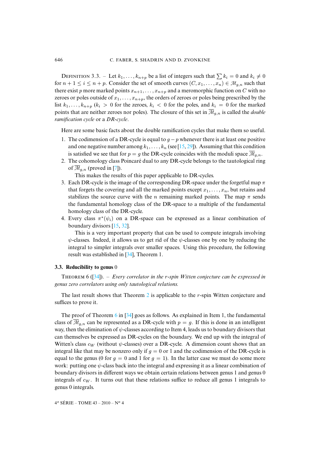DEFINITION 3.3. – Let  $k_1, \ldots, k_{n+p}$  be a list of integers such that  $\sum k_i = 0$  and  $k_i \neq 0$ for  $n + 1 \le i \le n + p$ . Consider the set of smooth curves  $(C, x_1, \ldots, x_n) \in M_{q,n}$  such that there exist p more marked points  $x_{n+1}, \ldots, x_{n+p}$  and a meromorphic function on C with no zeroes or poles outside of  $x_1, \ldots, x_{n+p}$ , the orders of zeroes or poles being prescribed by the list  $k_1, \ldots, k_{n+p}$  ( $k_i > 0$  for the zeroes,  $k_i < 0$  for the poles, and  $k_i = 0$  for the marked points that are neither zeroes nor poles). The closure of this set in  $\overline{\mathcal{M}}_{q,n}$  is called the *double ramification cycle* or a *DR-cycle*.

Here are some basic facts about the double ramification cycles that make them so useful.

- 1. The codimension of a DR-cycle is equal to  $g p$  whenever there is at least one positive and one negative nu[m](#page-36-6)ber among  $k_1, \ldots, k_n$  (see [15, 29]). Assuming that this condition is satisfied we see that for  $p = q$  the DR-cycle coincides with the moduli space  $\overline{\mathcal{M}}_{q,n}$ .
- 2. The cohomology class Poincaré dual to any DR-cycle belongs to the tautological ring of  $\overline{\mathcal{M}}_{q,n}$  (proved in [7]).

This makes the results of this paper applicable to DR-cycles.

- 3. Each DR-cycle is the image of the corresponding DR-space under the forgetful map  $\pi$ that forgets the covering and all the marked points except  $x_1, \ldots, x_n$ , but retains and stabilizes the source curve with the n remaining marked points. The map  $\pi$  sends the fundamental h[om](#page-37-17)[olog](#page-38-5)y class of the DR-space to a multiple of the fundamental homology class of the DR-cycle.
- 4. Every class  $\pi^*(\psi_i)$  on a DR-space can be expressed as a linear combination of boundary divisors [15, 32].

This is a very import[ant](#page-38-6) property that can be used to compute integrals involving  $\psi$ -classes. Indeed, it allows us to get rid of the  $\psi$ -classes one by one by reducing the integral to simpler integrals over smaller spaces. Using this procedure, the following result was [esta](#page-38-6)blished in [34], Theorem 1.

# <span id="page-26-0"></span>**3.3. Reducibility to genus** 0

T 6 ([34]). – *Every correlat[or](#page-12-1) in the* r*-spin Witten conjecture can be expressed in genus zero correlators using only tautological relations.*

The last result shows [tha](#page-26-0)t [The](#page-38-6)orem 2 is applicable to the  $r$ -spin Witten conjecture and suffices to prove it.

The proof of Theorem 6 in [34] goes as follows. As explained in Item 1, the fundamental class of  $\overline{\mathcal{M}}_{q,n}$  can be represented as a DR-cycle with  $p = g$ . If this is done in an intelligent way, then the elimination of  $\psi$ -classes according to Item 4, leads us to boundary divisors that can themselves be expressed as DR-cycles on the boundary. We end up with the integral of Witten's class  $c_W$  (without  $\psi$ -classes) over a DR-cycle. A dimension count shows that an integral like that may be nonzero only if  $g = 0$  or 1 and the codimension of the DR-cycle is equal to the genus (0 for  $q = 0$  and 1 for  $q = 1$ ). In the latter case we must do some more work: putting one  $\psi$ -class back into the integral and expressing it as a linear combination of boundary divisors in different ways we obtain certain relations between genus 1 and genus 0 integrals of  $c_W$ . It turns out that these relations suffice to reduce all genus 1 integrals to genus 0 integrals.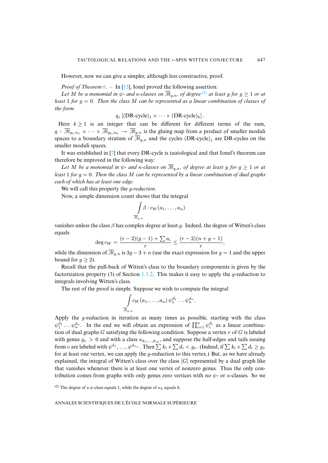However, now we can give a simpler, although less construct[ive,](#page-27-0) proof.

*Proof of Theorem* 6. – In [15], Ionel proved the following assertion:

*Let* M *be a monomial in*  $\psi$ *- and*  $\kappa$ *-classes on*  $\overline{\mathcal{M}}_{q,n}$ , *of degree* <sup>(2)</sup> *at least* q *for*  $q > 1$  *or at least* 1 *for* g = 0*. Then the class* M *can be represented as a linear combination of classes of the form*

 $q_*$  [(DR-cycle)<sub>1</sub> × · · · × (DR-cycle)<sub>k</sub>].

Here  $k > 1$  is an integer that can be different for different terms of the sum,  $q : \overline{\mathcal{M}}_{g_1,n_1} \times \cdots \times \overline{\mathcal{M}}_{g_k,n_k} \to \overline{\mathcal{M}}_{g,n}$  $q : \overline{\mathcal{M}}_{g_1,n_1} \times \cdots \times \overline{\mathcal{M}}_{g_k,n_k} \to \overline{\mathcal{M}}_{g,n}$  $q : \overline{\mathcal{M}}_{g_1,n_1} \times \cdots \times \overline{\mathcal{M}}_{g_k,n_k} \to \overline{\mathcal{M}}_{g,n}$  is the gluing map from a product of smaller moduli spaces to a boundary stratum of  $\overline{\mathcal{M}}_{g,n}$  and the cycles  $(DR$ -cycle)<sub>j</sub> are DR-cycles on the smaller moduli spaces.

It was established in [7] that every DR-cycle is tautological and that Ionel's theorem can therefore be improved in the following way:

*Let* M *be a monomial in*  $\psi$ *- and*  $\kappa$ *-classes on*  $\overline{M}_{q,n}$ *, of degree at least g for*  $g \geq 1$  *or at least* 1 *for* g = 0*. Then the class* M *can be represented by a linear combination of dual graphs each of which has at least one edge.*

We will call this property the g*-reduction*.

Now, a simple dimension count shows that the integral

$$
\int\limits_{\overline{\mathcal{M}}_{g,n}} \beta \cdot c_W(a_1,\ldots,a_n)
$$

vanishes unless the class  $\beta$  has complex degree at least g. Indeed, the degree of Witten's class equals

$$
\deg c_W = \frac{(r-2)(g-1) + \sum a_i}{r} \le \frac{(r-2)(n+g-1)}{r},
$$

while the dimension of  $\overline{\mathcal{M}}_{g,n}$  is 3g – [3 +](#page-7-0) n (use the exact expression for  $g = 1$  and the upper bound for  $g \geq 2$ ).

Recall that the pull-back of Witten's class to the boundary components is given by the factorization property (3) of Section 1.3.2. This makes it easy to apply the g-reduction to integrals involving Witten's class.

The rest of the proof is simple. Suppose we wish to compute the integral

$$
\int\limits_{\overline{\mathcal{M}}_{g,n}}c_W(a_1,\ldots,a_n)\,\psi_1^{d_1}\ldots\psi_n^{d_n}.
$$

Apply the g-reduction in iteration as many times as possible, starting with the class  $\psi_1^{d_1} \dots \psi_n^{d_n}$ . In the end we will obtain an expression of  $\prod_{i=1}^n \psi_i^{d_i}$  as a linear combination of dual graphs  $G$  satisfying the following condition. Suppose a vertex  $v$  of  $G$  is labeled with genus  $g_v > 0$  and with a class  $\kappa_{k_1,\dots,k_m}$ , and suppose the half-edges and tails issuing from v are labeled with  $\psi^{d_1}, \ldots, \psi^{d_{n_v}}$ . Then  $\sum k_i + \sum d_i < g_v$ . (Indeed, if  $\sum k_i + \sum d_i \geq g_v$ for at least one vertex, we can apply the  $q$ -reduction to this vertex.) But, as we have already explained, the integral of Witten's class over the class  $[G]$  represented by a dual graph like that vanishes whenever there is at least one vertex of nonzero genus. Thus the only contribution comes from graphs with only genus zero vertices with no  $\psi$ - or  $\kappa$ -classes. So we

<span id="page-27-0"></span>(2) The degree of a  $\psi$ -class equals 1, while the degree of  $\kappa_k$  equals k.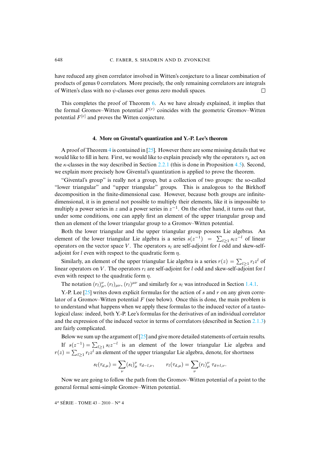have reduced any given correlator involved in Witten's conjecture to a linear combination of products of genus 0 correlators. More pre[cis](#page-26-0)ely, the only remaining correlators are integrals of Witten's class with no  $\psi$ -classes over genus zero moduli spaces.  $\Box$ 

<span id="page-28-0"></span>This completes the proof of Theorem 6. As we have already explained, it implies that the formal Gromov–Witten potential  $F^{(r)}$  coincides with the geometric Gromov–Witten potential  $F^{[r]}$  and proves the Witten conjecture.

#### **4. More on Givental's quant[izatio](#page-18-0)n and Y.-P. Lee's theorem**

A proof of Theorem 4 is contained in  $[25]$ . However there are some missing details that we would like to fill in here. First, we would like to explain precisely why the operators  $\tau_k$  act on the  $\kappa$ -classes in the way described in Section 2.2.1 (this is done in Proposition 4.5). Second, we explain more precisely how Givental's quantization is applied to prove the theorem.

"Givental's group" is really not a group, but a collection of two groups: the so-called "lower triangular" and "upper triangular" groups. This is analogous to the Birkhoff decomposition in the finite-dimensional case. However, because both groups are infinitedimensional, it is in general not possible to multiply their elements, like it is impossible to multiply a power series in z and a power series in  $z^{-1}$ . On the other hand, it turns out that, under some conditions, one can apply first an element of the upper triangular group and then an element of the lower triangular group to a Gromov–Witten potential.

Both the lower triangular and the upper triangular group possess Lie algebras. An element of the lower triangular Lie algebra is a series  $s(z^{-1}) = \sum_{l \geq 1} s_l z^{-l}$  of linear operators on the vector space V. The operators  $s_l$  are self-adjoint for l odd and skew-selfadjoint for l even with respect to the quadratic form  $\eta$ .

Similarly, an element of the upper triangular Lie algebra is a series  $r(z) = \sum_{l \geq 1} r_l z^l$  $r(z) = \sum_{l \geq 1} r_l z^l$  $r(z) = \sum_{l \geq 1} r_l z^l$  of linear operat[ors](#page-37-14) on V. The operators  $r_l$  are self-adjoint for l odd and skew-self-adjoint for l even with respect to the quadratic form  $\eta$ .

The notation  $(r_l)_{\mu}^{\nu}$ ,  $(r_l)_{\mu\nu}$ ,  $(r_l)^{\mu\nu}$  and similarly for  $s_l$  was introduced in Section 1.4.1.

Y.-P. Lee  $[25]$  writes down explicit formulas for the action of s and r on any given correlator of a Gromov–Witten potential  $F$  (see below). Once this is done, the main pro[blem is](#page-14-0) to understand what happens when we apply these formulas to the induced vector of a tautological class: indeed, both Y.-P. Lee's [for](#page-37-14)mulas for the derivatives of an individual correlator and the expression of the induced vector in terms of correlators (described in Section 2.1.3) are fairly complicated.

Below we sum up the argument of [25] and give more detailed statements of certain results. If  $s(z^{-1}) = \sum_{l \geq 1} s_l z^{-l}$  is an element of the lower triangular Lie algebra and  $r(z) = \sum_{l \ge 1} r_l z^l$  an element of the upper triangular Lie algebra, denote, for shortness

$$
s_l(\tau_{d,\mu}) = \sum_{\nu} (s_l)_{\mu}^{\nu} \tau_{d-l,\nu}, \qquad r_l(\tau_{d,\mu}) = \sum_{\nu} (r_l)_{\mu}^{\nu} \tau_{d+l,\nu}.
$$

Now we are going to follow the path from the Gromov–Witten potential of a point to the general formal semi-simple Gromov–Witten potential.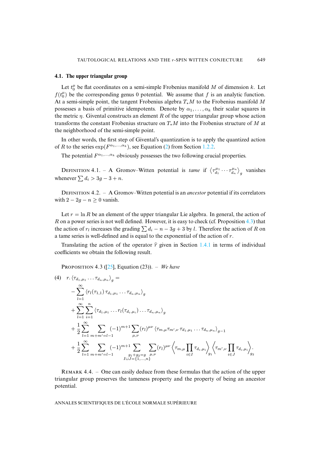# **4.1. The upper triangular group**

Let  $t_0^{\mu}$  be flat coordinates on a semi-simple Frobenius manifold M of dimension k. Let  $f(t_0^{\mu})$  be the corresponding genus 0 potential. We assume that f is an analytic function. At a semi-simple point, the tangent Frobenius algebra  $T_*M$  to the Frobenius manifold M possesses a basis of primitive idempotents. Denote by  $\alpha_1, \dots, \alpha_k$  their scalar squares in the metric  $\eta$ . Givental constructs an element R of the upper triangular group whose action transforms the constant [Froben](#page-4-0)ius structure on  $T_*M$  $T_*M$  into the Frobenius structure of M at the neighborhood of the semi-simple point.

In other words, the first step of Givental's quantization is to apply the quantized action of R to the series  $\exp(F^{\alpha_1,...,\alpha_k})$ , see Equation (2) from Section 1.2.2.

The potential  $F^{\alpha_1,...,\alpha_k}$  obviously possesses the two following crucial properties.

DEFINITION 4.1. – A Gromov–Witten potential is *tame* if  $\left\langle \tau_{d_1}^{\mu_1} \cdots \tau_{d_n}^{\mu_n} \right\rangle_g$  vanishes whenever  $\sum d_i > 3g - 3 + n$ .

DEFINITION 4.2. – A Gromov–Witten potential is an *ancestor* potential if its correlators with  $2 - 2q - n \geq 0$  vanish.

Let  $r = \ln R$  be an element of the upper triangular Lie algebra. In general, the action of R on a power series is not well defined. However, it is easy to c[heck \(c](#page-9-0)f. Proposition 4.3) that the action of  $r_l$  increases the grading  $\sum d_i - n - 3g + 3$  by *l*. Therefore the action of R on a tame series is well-defined and is equal to the exponential of the action of r.

Translating the act[ion](#page-37-14) of the operator  $\hat{r}$  given in Section 1.4.1 in terms of individual coefficients we obtain the following result.

<span id="page-29-0"></span>PROPOSITION 4.3 ([25], Equation (23)). – *We have* 

$$
(4) \quad r. \langle \tau_{d_1,\mu_1} \dots \tau_{d_n,\mu_n} \rangle_g =
$$
\n
$$
- \sum_{l=1}^{\infty} \langle r_l(\tau_{1,1}) \tau_{d_1,\mu_1} \dots \tau_{d_n,\mu_n} \rangle_g
$$
\n
$$
+ \sum_{l=1}^{\infty} \sum_{i=1}^n \langle \tau_{d_1,\mu_1} \dots \tau_l(\tau_{d_i,\mu_i}) \dots \tau_{d_n,\mu_n} \rangle_g
$$
\n
$$
+ \frac{1}{2} \sum_{l=1}^{\infty} \sum_{m+m'=l-1}^{\infty} (-1)^{m+1} \sum_{\mu,\nu} (r_l)^{\mu\nu} \langle \tau_{m,\mu} \tau_{m',\nu} \tau_{d_1,\mu_1} \dots \tau_{d_n,\mu_n} \rangle_{g-1}
$$
\n
$$
+ \frac{1}{2} \sum_{l=1}^{\infty} \sum_{m+m'=l-1}^{\infty} (-1)^{m+1} \sum_{\substack{g_1+g_2=g \\ l \sqcup J=\{1,\dots,n\}}} \sum_{\mu,\nu} (r_l)^{\mu\nu} \langle \tau_{m,\mu} \prod_{i \in I} \tau_{d_i,\mu_i} \rangle_g \langle \tau_{m',\nu} \prod_{i \in J} \tau_{d_i,\mu_i} \rangle_g^2
$$

<span id="page-29-1"></span>REMARK  $4.4.$  – One can easily deduce from these formulas that the action of the upper triangular group preserves the tameness property and the property of being an ancestor potential.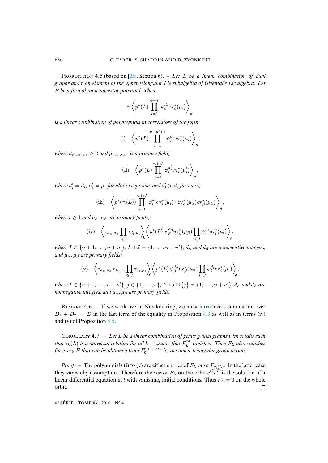PROPOSITION 4.5 (based on [25], Section 6). – Let L be a linear combination of dual *graphs and* r *an element of the upper triangular Lie subalgebra of Givental's Lie algebra. Let* F *be a formal tame ancestor potential. Then*

$$
r.\left\langle p^*(L)\prod_{i=1}^{n+n'}\psi_i^{d_i}\mathrm{ev}_i^*(\mu_i)\right\rangle_g
$$

*is a linear combination of polynomials in correlators of the form*

(i) 
$$
\left\langle p^*(L) \prod_{i=1}^{n+n'+1} \psi_i^{d_i} \text{ev}_i^*(\mu_i) \right\rangle_g
$$

*where*  $d_{n+n'+1} \geq 2$  *and*  $\mu_{n+n'+1}$  *is a primary field;* 

(ii) 
$$
\left\langle p^*(L) \prod_{i=1}^{n+n'} \psi_i^{d'_i} \text{ev}_i^*(\mu'_i) \right\rangle_g
$$

where  $d_i' = d_i$ ,  $\mu_i' = \mu_i$  for all i except one, and  $d_i' > d_i$  for one i;

(iii) 
$$
\left\langle p^*(\tau_l(L)) \prod_{i=1}^{n+n'} \psi_i^{d_i} ev_i^*(\mu_i) \cdot ev_\alpha^*(\mu_\alpha) ev_\beta^*(\mu_\beta) \right\rangle_g
$$

*where*  $l \geq 1$  *and*  $\mu_{\alpha}, \mu_{\beta}$  *are primary fields;* 

$$
\text{(iv)} \quad \left\langle \tau_{d_{\alpha},\mu_{\alpha}} \prod_{i\in I} \tau_{d_i,\mu_i} \right\rangle_0 \left\langle p^*(L) \; \psi_{\beta}^{d_{\beta}} \text{ev}_{\beta}^*(\mu_{\beta}) \prod_{i\in J} \psi_i^{d_i} \text{ev}_i^*(\mu_i) \right\rangle_g,
$$

*where*  $I \subset \{n+1,\ldots,n+n'\}$ ,  $I \sqcup J = \{1,\ldots,n+n'\}$ ,  $d_{\alpha}$  and  $d_{\beta}$  are nonnegative integers, *and*  $\mu_{\alpha}, \mu_{\beta}$  *are primary fields;* 

$$
\text{(v)} \quad \left\langle \tau_{d_{\alpha},\mu_{\alpha}} \tau_{d_j,\mu_j} \prod_{i \in I} \tau_{d_i,\mu_i} \right\rangle_0 \left\langle p^*(L) \, \psi_{\beta}^{d_{\beta}} \text{ev}_{\beta}^*(\mu_{\beta}) \prod_{i \in J} \psi_i^{d_i} \text{ev}_i^*(\mu_i) \right\rangle_g,
$$

*where I* ⊂ {*n* + 1, . . . , *n* + *n*<sup>'</sup>}, *j* ∈ {1, . . . , *n*}, *I* ⊔ *J* ⊔ {*j*} = {1, . . . , *n* + *n*<sup>'</sup>}, *d*<sub>α</sub> and *d*<sub>β</sub> are *nonnegative integers, and*  $\mu_{\alpha}$ ,  $\mu_{\beta}$  *are primary fields.* 

REMARK 4.6. – If we work over a Novikov ring, we must introduce a summation over  $D_1 + D_2 = D$  in the last term of the equality in Proposition 4.3 as well as in terms (iv) and (v) of Proposition 4.5.

C 4.7. – *Let* L *be a linear combination of genus* g *dual graphs with* n *tails such that*  $\tau_k(L)$  *is a universal relation for all k. Assume that*  $F_L^{\text{pt}}$  *vanishes. Then*  $F_L$  *also vanishes* for every F that can be obtained from  $F_0^{\alpha_1,...,\alpha_k}$  by the upper triangular group action.

*Proof.* – The polynomials (i) to (v) are either entries of  $F_L$  or of  $F_{\tau_l(L)}$ . In the latter case they vanish by assumption. Therefore the vector  $F_L$  on the orbit  $e^{t\hat{r}}e^F$  is the solution of a linear differential equation in t with vanishing initial conditions. Thus  $F_L = 0$  on the whole orbit.  $\Box$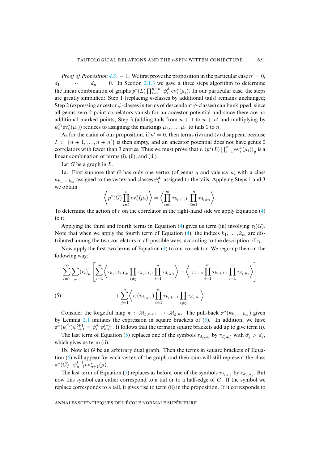*Proof of Proposition* 4.5. - 1. We first prove the proposition in the particular case  $n' = 0$ ,  $d_1 = \cdots = d_n = 0$ . In Section 2.1.3 we gave a three steps algorithm to determine the linear combination of graphs  $p^*(L) \prod_{i=1}^{n+n'} \psi_i^{d_i} ev_i^*(\mu_i)$ . In our particular case, the steps are greatly simplified: Step 1 (replacing  $\kappa$ -classes by additional tails) remains unchanged; Step 2 (expressing ancestor  $\psi$ -classes in terms of descendant  $\psi$ -classes) can be skipped, since all genus zero 2-point correlators vanish for an ancestor potential and since there are no additional marked points; Step 3 (adding tails from  $n + 1$  to  $n + n'$  and multiplying by  $\psi_i^{d_i}$ ev $_i^*(\mu_i)$ ) reduces to assigning the markings  $\mu_1, \ldots, \mu_n$  to tails 1 to *n*.

As for the claim of our proposition, if  $n' = 0$ , then terms (iv) and (v) disappear, because  $I \subset \{n+1,\ldots,n+n'\}$  is then empty, and an ancestor potential does not have genus 0 correlators with fewer than 3 entries. Thus we must prove that  $r \cdot (p^*(L) \prod_{i=1}^n \mathrm{ev}_i^*(\mu_i))_g$  is a linear combination of terms (i), (ii), and (iii).

Let  $G$  be a graph in  $L$ .

1a. First suppose that G has only one vertex (of genus q and valency  $n$ ) with a class  $\kappa_{k_1,...,k_m}$  assigned to the vertex and classes  $\psi_i^{d_i}$  assigned to the tails. Applying Steps 1 and 3 we obtain

$$
\left\langle p^*(G) \prod_{i=1}^n \mathrm{ev}_i^*(\mu_i) \right\rangle = \left\langle \prod_{i=1}^m \tau_{k_i+1,1} \prod_{i=1}^n \tau_{d_i,\mu_i} \right\rangle.
$$

To determine the action of r on the correlator in the rig[ht-](#page-29-0)hand side we apply Equation  $(4)$ to it.

Applying the third and fourth terms in Eq[ua](#page-29-0)tion (4) gives us term (iii) involving  $\tau_l(G)$ . Note that when we apply the fourth term of Equation (4), the indices  $k_1, \ldots, k_m$  are distributed among the two correlators in all possible ways, according to the description of  $\tau_l$ .

Now apply the first two terms of Equation (4) to our correlator. We regroup them in the following way:

<span id="page-31-0"></span>
$$
\sum_{l=1}^{\infty} \sum_{\mu} (r_l)_\mu^1 \left[ \sum_{j=1}^m \left\langle \tau_{k_j + l + 1, \mu} \prod_{i \neq j} \tau_{k_i + 1, 1} \prod_{i=1}^n \tau_{d_i, \mu_i} \right\rangle - \left\langle \tau_{l+1, \mu} \prod_{i=1}^m \tau_{k_i + 1, 1} \prod_{i=1}^n \tau_{d_i, \mu_i} \right\rangle \right]
$$
\n(5)\n
$$
+ \sum_{j=1}^n \left\langle r_l(\tau_{d_j, \mu_j}) \prod_{i=1}^m \tau_{k_i + 1, 1} \prod_{i \neq j} \tau_{d_i, \mu_i} \right\rangle.
$$

Consider the forgetful map  $\pi$ :  $\overline{M}_{g,n+1} \to \overline{M}_{g,n}$ . The pull-back  $\pi^*(\kappa_{k_1,...,k_m})$  given by Lemma  $2.1$  imitates the expression in square brackets of  $(5)$ . In addition, we have  $\pi^*(\psi_i^{d_i})\psi_{n+1}^{l+1} = \psi_i^{d_i}\psi_{n+1}^{l+1}$ . It follows that the terms in square brackets add up to give term (i).

T[he](#page-31-0) last term of Equation (5) replaces one of the symbols  $\tau_{d_j,\mu_j}$  by  $\tau_{d'_j,\mu'_j}$  with  $d'_j > d_j$ , which gives us term (ii).

1b. Now let  $G$  be an arbit[rar](#page-31-0)y dual graph. Then the terms in square brackets of Equation  $(5)$  will appear for each vertex of the graph and their sum will still represent the class  $\pi^*(G) \cdot \psi_{n+1}^{l+1}$ ev<sub>n+1</sub>( $\mu$ ).

The last term of Equation (5) replaces as before, one of the symbols  $\tau_{d_j,\mu_j}$  by  $\tau_{d'_j,\mu'_j}$ . But now this symbol can either correspond to a tail or to a half-edge of G. If the symbol we replace corresponds to a tail, it gives rise to term (ii) in the proposition. If it corresponds to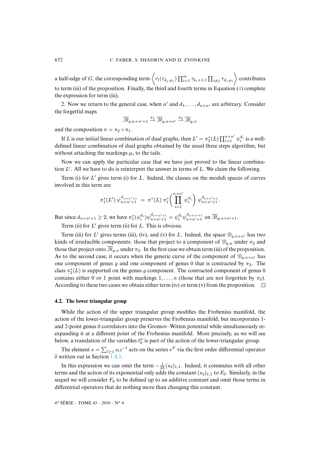a half-edge of  $G$ , the corresponding term  $\left\langle r_l(\tau_{d_j,\mu_j}) \prod_{i=1}^m \tau_{k_i+1,1} \prod_{i\neq j} \tau_{d_i,\mu_i} \right\rangle$  contributes to term (iii) of the proposition. Finally, the third and fourth terms in Equation (4) complete the expression for term (iii).

2. Now we return to the general case, when  $n'$  and  $d_1, \ldots, d_{n+n'}$  are arbitrary. Consider the forgetful maps

$$
\overline{\mathcal{M}}_{g,n+n'+1} \stackrel{\pi_1}{\to} \overline{\mathcal{M}}_{g,n+n'} \stackrel{\pi_2}{\to} \overline{\mathcal{M}}_{g,n}
$$

and the composition  $\pi = \pi_2 \circ \pi_1$ .

If L is our initial linear combination of dual graphs, then  $L' = \pi_2^*(L) \prod_{i=1}^{n+n'} \psi_i^{d_i}$  is a welldefined linear combination of dual graphs obtained by the usual three steps algorithm, but without attaching the markings  $\mu_i$  to the tails.

Now we can apply the particular case that we have just proved to the linear combination  $L'$ . All we have to do is reinterpret the answer in terms of  $L$ . We claim the following.

Term (i) for  $L'$  gives term (i) for  $L$ . Indeed, the classes on the moduli spaces of curves involved in this term are

$$
\pi_1^*(L') \ \psi_{n+n'+1}^{d_{n+n'+1}} = \ \pi^*(L) \ \pi_1^*\left(\prod_{i=1}^{n+n'} \psi_i^{d_i}\right) \psi_{n+n'+1}^{d_{n+n'+1}}.
$$

But since  $d_{n+n'+1} \ge 2$ , we have  $\pi_1^*(\psi_i^{d_i}) \psi_{n+n'+1}^{d_{n+n'+1}} = \psi_i^{d_i} \psi_{n+n'+1}^{d_{n+n'+1}}$  on  $\overline{\mathcal{M}}_{g,n+n'+1}$ .

Term (ii) for  $L'$  gives term (ii) for  $L$ . This is obvious.

Term (iii) for L' gives terms (iii), (iv), and (v) for L. Indeed, the space  $\mathcal{D}_{g,n+n'}$  has two kinds of irreducible components: those that project to a component of  $\mathcal{D}_{g,n}$  under  $\pi_2$  and those that project onto  $\overline{\mathcal{M}}_{g,n}$  under  $\pi_2$ . In the first case we obtain term (iii) of the proposition. As to the second case, it occurs when the generic curve of the component of  $\mathcal{D}_{q,n+n'}$  has one component of genus g and one component of genus 0 that is contracted by  $\pi_2$ . The class  $\pi_2^*(L)$  is supported on the genus g component. The contracted component of genus 0 contains either 0 or 1 point with markings  $1, \ldots, n$  (those that are not forgotten by  $\pi_2$ ). According to these two cases we obtain either term (iv) or term (v) from the proposition.  $\Box$ 

### **4.2. The lower triangular group**

While the action of the upper triangular group modifies the Frobenius manifold, the action of the lower-triangular group preserves the Frobenius manifold, but incorporates 1 and 2-point genus 0 correlators into the Gromov–Witten potential while simultaneously reexpanding it at a differ[ent po](#page-9-0)int of the Frobenius manifold. More precisely, as we will see below, a translation of the variables  $t_0^{\mu}$  is part of the action of the lower-triangular group.

The element  $s = \sum_{l \geq 1} s_l z^{-l}$  acts on the series  $e^F$  via the first order differential operator  $\widehat{s}$  written out in Section 1.4.1.

In this expression we can omit the term  $-\frac{1}{2\hbar}(s_3)_{1,1}$ . Indeed, it commutes with all other terms and the action of its exponential only adds the constant  $(s_3)_{1,1}$  to  $F_0$ . Similarly, in the sequel we will consider  $F_0$  to be defined up to an additive constant and omit those terms in differential operators that do nothing more than changing this constant.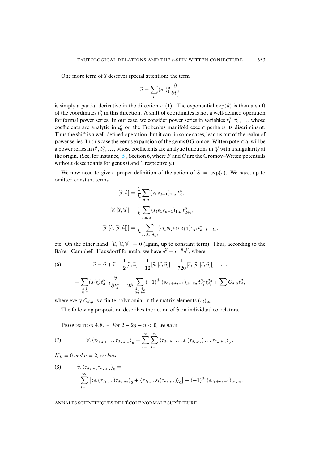One more term of  $\hat{s}$  deserves special attention: the term

$$
\widehat{u}=\sum_\mu (s_1)_1^\mu \frac{\partial}{\partial t_0^\mu}
$$

is simply a partial derivative in the direction  $s_1(1)$ . The exponential  $\exp(\widehat{u})$  is then a shift of the coordinates  $t_0^{\mu}$  in this direction. A shift of coordinates is not a well-defined operation for formal power series. In our case, we consider power series in variables  $t_1^{\mu}, t_2^{\mu}, \ldots$ , whose coefficients are analytic in  $t_0^{\mu}$  on the Frobenius manifold except perhaps its discriminant. Thus the shift is a well-define[d o](#page-36-7)peration, but it can, in some cases, lead us out of the realm of power series. In this case the genus expansion of the genus 0 Gromov–Witten potential will be a power series in  $t_1^{\mu}, t_2^{\mu}, \ldots$ , whose coefficients are analytic functions in  $t_0^{\mu}$  with a singularity at the origin. (See, for instance, [5], Section 6, where  $F$  and  $G$  are the Gromov–Witten potentials without descendants for genus 0 and 1 respectively.)

We now need to give a proper definition of the action of  $S = \exp(s)$ . We have, up to omitted constant terms,

$$
[\hat{s}, \hat{u}] = \frac{1}{\hbar} \sum_{d,\mu} (s_1 s_{d+1})_{1,\mu} t_d^{\mu},
$$

$$
[\hat{s}, [\hat{s}, \hat{u}]] = \frac{1}{\hbar} \sum_{l,d,\mu} (s_l s_1 s_{d+1})_{1,\mu} t_{d+l}^{\mu},
$$

$$
[\hat{s}, [\hat{s}, [\hat{s}, \hat{u}]]] = \frac{1}{\hbar} \sum_{l_1, l_2, d,\mu} (s_{l_1} s_{l_2} s_1 s_{d+1})_{1,\mu} t_{d+l_1+l_2}^{\mu},
$$

<span id="page-33-0"></span>etc. On the other hand,  $[\hat{u}, [\hat{u}, \hat{s}]]=0$  (again, up to constant term). Thus, according to the Baker–Campbell–Hausdorff formula, we have  $e^{\hat{s}} = e^{-\hat{u}}e^{\hat{v}}$ , where

(6) 
$$
\widehat{v} = \widehat{u} + \widehat{s} - \frac{1}{2} [\widehat{s}, \widehat{u}] + \frac{1}{12} [\widehat{s}, [\widehat{s}, \widehat{u}]] - \frac{1}{720} [\widehat{s}, [\widehat{s}, [\widehat{s}, \widehat{u}]]] + \dots
$$

$$
= \sum_{\substack{d,l\\ \mu,\nu}} (s_l)_{\nu}^{\mu} t_{d+l}^{\nu} \frac{\partial}{\partial t_d^{\mu}} + \frac{1}{2\hbar} \sum_{\substack{d_1, d_2\\ \mu_2, \mu_2}} (-1)^{d_1} (s_{d_1+d_2+1})_{\mu_1, \mu_2} t_{d_1}^{\mu_1} t_{d_2}^{\mu_2} + \sum C_{d,\mu} t_d^{\mu},
$$

where every  $C_{d,\mu}$  is a finite polynomial in the matrix elements  $(s_l)_{\mu\nu}$ .

The following proposition describes the action of  $\hat{v}$  on individual correlators.

**PROPOSITION** 4.8. – *For*  $2 - 2g - n < 0$ *, we have* 

(7) 
$$
\widehat{v} \cdot \langle \tau_{d_1,\mu_1} \dots \tau_{d_n,\mu_n} \rangle_g = \sum_{l=1}^{\infty} \sum_{i=1}^n \langle \tau_{d_1,\mu_1} \dots s_l(\tau_{d_i,\mu_i}) \dots \tau_{d_n,\mu_n} \rangle_g.
$$

<span id="page-33-1"></span>*If*  $q = 0$  *and*  $n = 2$ *, we have* 

(8) 
$$
\widehat{v} \cdot \langle \tau_{d_1,\mu_1} \tau_{d_2,\mu_2} \rangle_0 =
$$

$$
\sum_{l=1}^{\infty} \left[ \langle s_l(\tau_{d_1,\mu_1}) \tau_{d_2,\mu_2} \rangle_0 + \langle \tau_{d_1,\mu_1} s_l(\tau_{d_2,\mu_2}) \rangle_0 \right] + (-1)^{d_1} (s_{d_1+d_2+1})_{\mu_1\mu_2}.
$$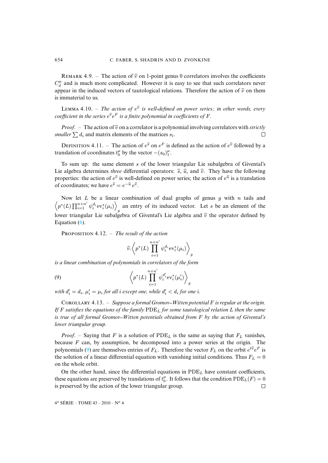REMARK 4.9. – The action of  $\hat{v}$  on 1-point genus 0 correlators involves the coefficients  $C_d^{\mu}$  and is much more complicated. However it is easy to see that such correlators never appear in the induced vectors of tautological relations. Therefore the action of  $\hat{v}$  on them is immaterial to us.

LEMMA 4.10. – *The action of*  $e^{\hat{v}}$  *is well-defined on power series; in other words, every* coefficient in the series  $e^{\widehat{v}}e^F$  is a finite polynomial in coefficients of  $F.$ 

*Proof.* – The action of  $\hat{v}$  on a correlator is a polynomial involving correlators with *strictly aller*  $\sum d_i$  and matrix elements of the matrices  $s_i$ . *smaller*  $\sum d_i$  and matrix elements of the matrices  $s_l$ .

DEFINITION 4.11. – The action of  $e^{\hat{s}}$  on  $e^F$  is defined as the action of  $e^{\hat{v}}$  followed by a translation of coordinates  $t_0^{\mu}$  by the vector  $-(s_0)_1^{\mu}$ .

To sum up: the same element s of the lower triangular Lie subalgebra of Givental's Lie algebra determines *three* differential operators:  $\hat{s}$ ,  $\hat{u}$ , and  $\hat{v}$ . They have the following properties: the action of  $e^{\hat{v}}$  is well-defined on power series; the action of  $e^{\hat{u}}$  is a translation of coordinates; we have  $e^{\hat{s}} = e^{-\hat{u}} e^{\hat{v}}$ .

Now l[et](#page-33-0)  $L$  be a linear combination of dual graphs of genus  $g$  with  $n$  tails and  $\left\langle {p^*(L)\prod\nolimits_{i = 1}^{n + n'} {\psi _i^{{d_i}}}{\rm{ev}}_i^*(\mu _i)} \right\rangle$ an entry of its induced vector. Let s be an element of the lower triangular Lie subalgebra of Givental's Lie algebra and  $\hat{v}$  the operator defined by Equation (6).

PROPOSITION 4.12. - *The result of the action* 

<span id="page-34-0"></span>
$$
\widehat{v}.\left\langle p^*(L)\prod_{i=1}^{n+n'}\psi_i^{d_i}\mathrm{ev}_i^*(\mu_i)\right\rangle_g
$$

*is a linear combination of polynomials in correlators of the form*

(9) 
$$
\left\langle p^*(L) \prod_{i=1}^{n+n'} \psi_i^{d'_i} \mathrm{ev}_i^*(\mu'_i) \right\rangle_g
$$

with  $d'_i = d_i$ ,  $\mu'_i = \mu_i$  for all i except one, while  $d'_i < d_i$  for one i.

C 4.13. – *Suppose a formal Gromov Witten potential* F *is regular at the origin. If* F *satisfies the equations of the family* PDE<sup>L</sup> *for some tautological relation* L *then the same is true of all formal Gromov Witten potentials obtained from* F *by the action of Givental's lower triangu[lar](#page-34-0) group.*

*Proof.* – Saying that F is a solution of  $PDE<sub>L</sub>$  is the same as saying that  $F<sub>L</sub>$  vanishes, because  $F$  can, by assumption, be decomposed into a power series at the origin. The polynomials (9) are themselves entries of  $F_L$ . Therefore the vector  $F_L$  on the orbit  $e^{t\hat{v}}e^F$  is the solution of a linear differential equation with vanishing initial conditions. Thus  $F<sub>L</sub> = 0$ on the whole orbit.

On the other hand, since the differential equations in  $PDE<sub>L</sub>$  have constant coefficients, these equations are preserved by translations of  $t_0^{\mu}$ . It follows that the condition  $PDE_L(F) = 0$ is preserved by the action of the lower triangular group.  $\Box$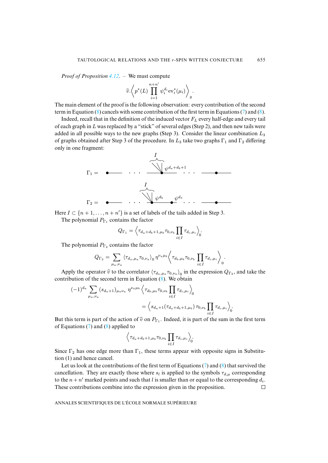*Proof of Proposition 4.12*. – We must compute

$$
\widehat{v}.\left\langle p^*(L)\prod_{i=1}^{n+n'}\psi_i^{d_i}\mathrm{ev}_i^*(\mu_i)\right\rangle_g.
$$

The main element of the proof is the following observation: every contribution of the second term in Equation  $(8)$  cancels with some contribution of the first term in Equations (7) and  $(8)$ .

Indeed, recall that in the definition of the induced vector  $F<sub>L</sub>$  every half-edge and every tail of each graph in L was replaced by a "stick" of several edges (Step 2), and then new tails were added in all possible ways to the new graphs (Step 3). Consider the linear combination  $L_3$ of graphs obtained after Step 3 of the procedure. In  $L_3$  take two graphs  $\Gamma_1$  and  $\Gamma_2$  differing only in one fragment:



Here  $I \subset \{n+1,\ldots,n+n'\}$  is a set of labels of the tails added in Step 3.

The polynomial  $P_{\Gamma_1}$  contains the factor

$$
Q_{\Gamma_1} = \left\langle \tau_{d_a+d_b+1,\mu_b} \tau_{0,\nu_b} \prod_{i \in I} \tau_{d_i,\mu_i} \right\rangle_0
$$

The polynomial  $P_{\Gamma_2}$  contains the factor

$$
Q_{\Gamma_2} = \sum_{\mu_a,\nu_a} \langle \tau_{d_a,\mu_a} \tau_{0,\nu_a} \rangle_0 \, \eta^{\nu_a \mu_b} \bigg\langle \tau_{d_b,\mu_b} \tau_{0,\nu_b} \prod_{i \in I} \tau_{d_i,\mu_i} \bigg\rangle_0.
$$

Apply the operator  $\hat{v}$  to the correlator  $\langle \tau_{d_a,\mu_a} \tau_{0,\nu_a} \rangle_0$  in the expression  $Q_{\Gamma_2}$ , and take the contribution of the second term in Equation (8). We obtain

$$
\begin{split} (-1)^{d_a} \sum_{\mu_a, \nu_a} (s_{d_a+1})_{\mu_a \nu_a} \eta^{\nu_a \mu_b} \left\langle \tau_{d_b, \mu_b} \tau_{0, \nu_b} \prod_{i \in I} \tau_{d_i, \mu_i} \right\rangle_0 \\ = \left\langle s_{d_a+1} (\tau_{d_a+d_b+1, \mu_b}) \tau_{0, \nu_b} \prod_{i \in I} \tau_{d_i, \mu_i} \right\rangle_0. \end{split}
$$

But this term is part of the action of  $\hat{v}$  on  $P_{\Gamma_1}$ . Indeed, it is part of the sum in the first term of Equations (7) and (8) and is d to of Equations (7) and (8) applied to

$$
\left\langle \tau_{d_a+d_b+1,\mu_b}\tau_{0,\nu_b}\prod_{i\in I}\tau_{d_i,\mu_i}\right\rangle_0
$$

Since  $\Gamma_2$  has one edge more than  $\Gamma_1$ , these terms appear with opposite signs in Substitution (1) and hence cancel.

Let us look at the contributions of the first term of Equations  $(7)$  and  $(8)$  that survived the cancellation. They are exactly those where  $s_l$  is applied to the symbols  $\tau_{d,\mu}$  corresponding to the  $n + n'$  marked points and such that l is smaller than or equal to the corresponding  $d_i$ . These contributions combine into the expression given in the proposition.  $\Box$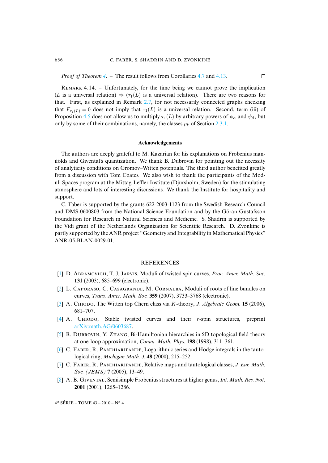# 656 C. FABER, S. SHADRIN AND D. ZVONKINE

 $\Box$ 

*Proof of Theorem 4*. – The result f[ollow](#page-18-1)s from Corollaries 4.7 and 4.13.

REMARK 4.14. – Unfortunately, for the time being we cannot prove the implication (L is a uni[versa](#page-29-1)l relation)  $\Rightarrow (\tau_1(L))$  is a universal relation). There are two reasons for that. First, as explained in Remark 2.7, for not necessarily conn[ected g](#page-20-0)raphs checking that  $F_{\tau_1(L)} = 0$  does not imply that  $\tau_1(L)$  is a universal relation. Second, term (iii) of Proposition 4.5 does not allow us to multiply  $\tau_1(L)$  by arbitrary powers of  $\psi_\alpha$  and  $\psi_\beta$ , but only by some of their combinations, namely, the classes  $\rho_k$  of Section 2.3.1.

### **Acknowledgements**

The authors are deeply grateful to M. Kazarian for his explanations on Frobenius manifolds and Givental's quantization. We thank B. Dubrovin for pointing out the necessity of analyticity conditions on Gromov–Witten potentials. The third author benefited greatly from a discussion with Tom Coates. We also wish to thank the participants of the Moduli Spaces program at the Mittag-Leffler Institute (Djursholm, Sweden) for the stimulating atmosphere and lots of interesting discussions. We thank the Institute for hospitality and support.

C. Faber is supported by the grants 622-2003-1123 from the Swedish Research Council and DMS-0600803 from the National Science Foundation and by the Göran Gustafsson Foundation for Research in Natural Sciences and Medicine. S. Shadrin is supported by the Vidi grant of the Netherlands Organization for Scientific Research. D. Zvonkine is partly supported by the ANR project "Geometry and Integrability in Mathematical Physics" ANR-05-BLAN-0029-01.

# **REFERENCES**

- <span id="page-36-5"></span><span id="page-36-4"></span><span id="page-36-2"></span>[1] D. ABRAMOVICH, T. J. JARVIS, Moduli of twisted spin curves, *Proc. Amer. Math. Soc.* **131** (2003), 685–699 (electronic).
- <span id="page-36-3"></span>[2] L. CAPORASO, C. CASAGRANDE, M. CORNALBA, Moduli of roots of line bundles on curves, *Trans. Amer. Math. Soc.* **359** (2007), 3733–3768 (electronic).
- <span id="page-36-7"></span>[3] A. CHIODO[, The Witten top](http://arxiv.org/abs/math.AG/0603687) Chern class via K-theory, *J. Algebraic Geom.* **15** (2006), 681–707.
- <span id="page-36-0"></span> $[4]$  A. CHIODO, Stable twisted curves and their r-spin structures, preprint arXiv:math.AG/0603687.
- <span id="page-36-6"></span>[5] B. DUBROVIN, Y. ZHANG, Bi-Hamiltonian hierarchies in 2D topological field theory at one-loop approximation, *Comm. Math. Phys.* **198** (1998), 311–361.
- <span id="page-36-1"></span> $[6]$  C. FABER, R. PANDHARIPANDE, Logarithmic series and Hodge integrals in the tautological ring, *Michigan Math. J.* **48** (2000), 215–252.
- [7] C. FABER, R. PANDHARIPANDE, Relative maps and tautological classes, *J. Eur. Math. Soc. (JEMS)* **7** (2005), 13–49.
- [8] A. B. GIVENTAL, Semisimple Frobenius structures at higher genus, *Int. Math. Res. Not.* **2001** (2001), 1265–1286.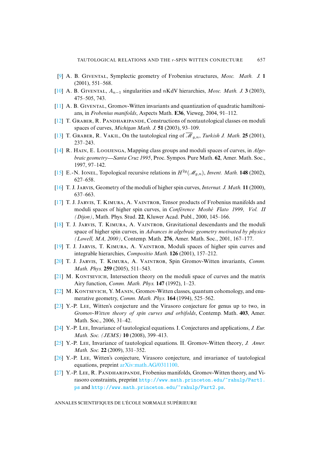- <span id="page-37-5"></span><span id="page-37-1"></span><span id="page-37-0"></span>[9] A. B. G, Symplectic geometry of Frobenius structures, *Mosc. Math. J.* **1** (2001), 551–568.
- <span id="page-37-3"></span>[10] A. B. GIVENTAL,  $A_{n-1}$  singularities and nKdV hierarchies, *Mosc. Math. J.* **3** (2003), 475–505, 743.
- <span id="page-37-2"></span> $[11]$  A. B. GIVENTAL, Gromov-Witten invariants and quantization of quadratic hamiltonians, in *Frobenius manifolds*, Aspects Math. **E36**, Vieweg, 2004, 91–112.
- <span id="page-37-4"></span> $[12]$  T. GRABER, R. PANDHARIPANDE, Constructions of nontautological classes on moduli spaces of curves, *Michigan Math. J.* **51** (2003), 93–109.
- [13] T. GRABER, R. VAKIL, On the tautological ring of  $\overline{\mathcal{M}}_{g,n}$ , *Turkish J. Math.* **25** (2001), 237–243.
- <span id="page-37-17"></span>[\[14\]](http://smf.emath.fr/Publications/AnnalesENS/4_43/html/ens_ann-sc_43_4.html#15) R. HAIN, E. LOOIJENGA, Mapping class groups and moduli spaces of curves, in *Algebraic geometry Santa Cruz 1995*, Proc. Sympos. Pure Math. **62**, Amer. Math. Soc., 1997, 97–142.
- <span id="page-37-9"></span><span id="page-37-7"></span>[15] E.-N. IONEL, Topological recursive relations in  $H^{2g}(\mathcal{M}_{g,n})$ , *Invent. Math.* **148** (2002), 627–658.
- [16] T. J. J, Geometry of the moduli of higher spin curves, *Internat. J. Math.* **11** (2000), 637–663.
- <span id="page-37-10"></span>[\[17\]](http://smf.emath.fr/Publications/AnnalesENS/4_43/html/ens_ann-sc_43_4.html#18) T. J. JARVIS, T. KIMURA, A. VAINTROB, Tensor products of Frobenius manifolds and moduli spaces of higher spin curves, in *Conférence Moshé Flato 1999, Vol. II (Dijon)*, Math. Phys. Stud. **22**, Kluwer Acad. Publ., 2000, 145–166.
- <span id="page-37-8"></span> $[18]$  T. J. JARVIS, T. KIMURA, A. VAINTROB, Gravitational descendants and the moduli space of higher spin curves, in *Advances in algebraic geometry motivated by physics (Lowell, MA, 2000)*, Contemp. Math. **276**, Amer. Math. Soc., 2001, 167–177.
- <span id="page-37-12"></span><span id="page-37-11"></span>[19] T. J. JARVIS, T. KIMURA, A. VAINTROB, Moduli spaces of higher spin curves and integrable hierarchies, *Compositio Math.* **126** (2001), 157–212.
- [20] T. J. JARVIS, T. KIMURA, A. VAINTROB, Spin Gromov-Witten invariants, *Comm. Math. Phys.* **259** (2005), 511–543.
- <span id="page-37-15"></span>[21] M. KONTSEVICH, Intersection theory on the moduli space of curves and the matrix Airy function, *Comm. Math. Phys.* **147** (1992), 1–23.
- [22] M. KONTSEVICH, Y. MANIN, Gromov-Witten classes, quantum cohomology, and enumerative geometry, *Comm. Math. Phys.* **164** (1994), 525–562.
- <span id="page-37-13"></span>[\[23\]](http://smf.emath.fr/Publications/AnnalesENS/4_43/html/ens_ann-sc_43_4.html#24) Y.-P. LEE, Witten's conjecture and the Virasoro conjecture for genus up to two, in *Gromov-Witten theory of spin curves and orbifolds*, Contemp. Math. **403**, Amer. Math. Soc., 2006, 31–42.
- <span id="page-37-16"></span><span id="page-37-14"></span>[24] Y.-P. Lee, Invariance of tautological equations. I. Conjectures and applications, *J. Eur. Math. Soc. (JEMS)* **10** (2008), 399–413.
- <span id="page-37-6"></span>[25] Y.-P. L, Invariance [of tautological equations.](http://arxiv.org/abs/math.AG/0311100) II. Gromov-Witten theory, *J. Amer. Math. Soc.* **22** (2009), 331–352.
- [26] Y.-P. Lee, Witten's conjectur[e, Virasoro conjecture, and invariance of tautological](http://www.math.princeton.edu/~rahulp/Part1.ps) [equ](http://www.math.princeton.edu/~rahulp/Part1.ps)ations, preprint [arXiv:math.AG/0311100.](http://www.math.princeton.edu/~rahulp/Part2.ps)
- [27] Y.-P. LEE, R. PANDHARIPANDE, Frobenius manifolds, Gromov-Witten theory, and Virasoro constraints, preprint http://www.math.princeton.edu/~rahulp/Part1. ps and http://www.math.princeton.edu/~rahulp/Part2.ps.